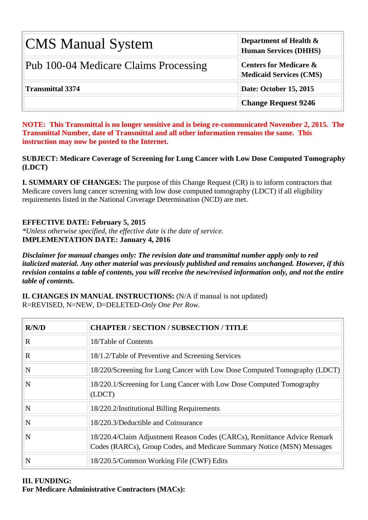| <b>CMS Manual System</b>              | Department of Health $\&$<br><b>Human Services (DHHS)</b>           |
|---------------------------------------|---------------------------------------------------------------------|
| Pub 100-04 Medicare Claims Processing | <b>Centers for Medicare &amp;</b><br><b>Medicaid Services (CMS)</b> |
| <b>Transmittal 3374</b>               | Date: October 15, 2015                                              |
|                                       | <b>Change Request 9246</b>                                          |

**NOTE: This Transmittal is no longer sensitive and is being re-communicated November 2, 2015. The Transmittal Number, date of Transmittal and all other information remains the same. This instruction may now be posted to the Internet.**

**SUBJECT: Medicare Coverage of Screening for Lung Cancer with Low Dose Computed Tomography (LDCT)**

**I. SUMMARY OF CHANGES:** The purpose of this Change Request (CR) is to inform contractors that Medicare covers lung cancer screening with low dose computed tomography (LDCT) if all eligibility requirements listed in the National Coverage Determination (NCD) are met.

## **EFFECTIVE DATE: February 5, 2015**

*\*Unless otherwise specified, the effective date is the date of service.* **IMPLEMENTATION DATE: January 4, 2016**

*Disclaimer for manual changes only: The revision date and transmittal number apply only to red italicized material. Any other material was previously published and remains unchanged. However, if this revision contains a table of contents, you will receive the new/revised information only, and not the entire table of contents.*

**II. CHANGES IN MANUAL INSTRUCTIONS:** (N/A if manual is not updated) R=REVISED, N=NEW, D=DELETED-*Only One Per Row.*

| R/N/D                   | <b>CHAPTER / SECTION / SUBSECTION / TITLE</b>                                                                                                      |
|-------------------------|----------------------------------------------------------------------------------------------------------------------------------------------------|
| $\mathbf R$             | 18/Table of Contents                                                                                                                               |
| $\mathbf R$             | 18/1.2/Table of Preventive and Screening Services                                                                                                  |
| $\overline{\mathbf{N}}$ | 18/220/Screening for Lung Cancer with Low Dose Computed Tomography (LDCT)                                                                          |
| N                       | 18/220.1/Screening for Lung Cancer with Low Dose Computed Tomography<br>(LDCT)                                                                     |
| $\overline{\mathbf{N}}$ | 18/220.2/Institutional Billing Requirements                                                                                                        |
| $\overline{\mathbf{N}}$ | 18/220.3/Deductible and Coinsurance                                                                                                                |
| N                       | 18/220.4/Claim Adjustment Reason Codes (CARCs), Remittance Advice Remark<br>Codes (RARCs), Group Codes, and Medicare Summary Notice (MSN) Messages |
| N                       | 18/220.5/Common Working File (CWF) Edits                                                                                                           |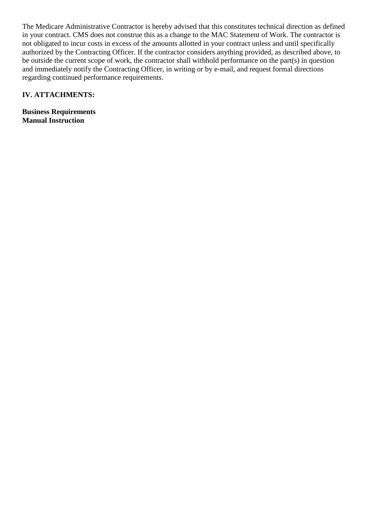The Medicare Administrative Contractor is hereby advised that this constitutes technical direction as defined in your contract. CMS does not construe this as a change to the MAC Statement of Work. The contractor is not obligated to incur costs in excess of the amounts allotted in your contract unless and until specifically authorized by the Contracting Officer. If the contractor considers anything provided, as described above, to be outside the current scope of work, the contractor shall withhold performance on the part(s) in question and immediately notify the Contracting Officer, in writing or by e-mail, and request formal directions regarding continued performance requirements.

#### **IV. ATTACHMENTS:**

**Business Requirements Manual Instruction**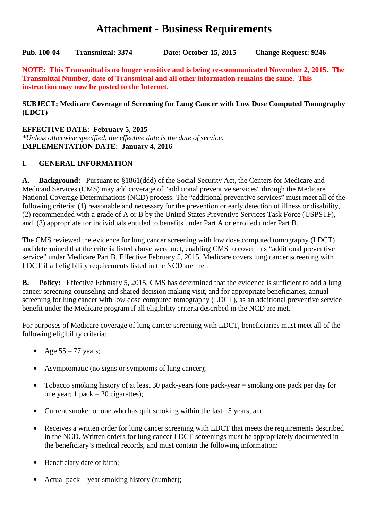## **Attachment - Business Requirements**

| <b>Pub. 100-04</b> | <b>Transmittal: 3374</b> | Date: October 15, 2015 | <b>Change Request: 9246</b> |
|--------------------|--------------------------|------------------------|-----------------------------|
|--------------------|--------------------------|------------------------|-----------------------------|

**NOTE: This Transmittal is no longer sensitive and is being re-communicated November 2, 2015. The Transmittal Number, date of Transmittal and all other information remains the same. This instruction may now be posted to the Internet.**

**SUBJECT: Medicare Coverage of Screening for Lung Cancer with Low Dose Computed Tomography (LDCT)**

**EFFECTIVE DATE: February 5, 2015** *\*Unless otherwise specified, the effective date is the date of service.* **IMPLEMENTATION DATE: January 4, 2016**

#### **I. GENERAL INFORMATION**

**A. Background:** Pursuant to §1861(ddd) of the Social Security Act, the Centers for Medicare and Medicaid Services (CMS) may add coverage of "additional preventive services" through the Medicare National Coverage Determinations (NCD) process. The "additional preventive services" must meet all of the following criteria: (1) reasonable and necessary for the prevention or early detection of illness or disability, (2) recommended with a grade of A or B by the United States Preventive Services Task Force (USPSTF), and, (3) appropriate for individuals entitled to benefits under Part A or enrolled under Part B.

The CMS reviewed the evidence for lung cancer screening with low dose computed tomography (LDCT) and determined that the criteria listed above were met, enabling CMS to cover this "additional preventive service" under Medicare Part B. Effective February 5, 2015, Medicare covers lung cancer screening with LDCT if all eligibility requirements listed in the NCD are met.

**B. Policy:** Effective February 5, 2015, CMS has determined that the evidence is sufficient to add a lung cancer screening counseling and shared decision making visit, and for appropriate beneficiaries, annual screening for lung cancer with low dose computed tomography (LDCT), as an additional preventive service benefit under the Medicare program if all eligibility criteria described in the NCD are met.

For purposes of Medicare coverage of lung cancer screening with LDCT, beneficiaries must meet all of the following eligibility criteria:

- **•** Age 55 77 years;
- **•** Asymptomatic (no signs or symptoms of lung cancer);
- Tobacco smoking history of at least 30 pack-years (one pack-year = smoking one pack per day for one year; 1 pack =  $20$  cigarettes);
- **•** Current smoker or one who has quit smoking within the last 15 years; and
- Receives a written order for lung cancer screening with LDCT that meets the requirements described in the NCD. Written orders for lung cancer LDCT screenings must be appropriately documented in the beneficiary's medical records, and must contain the following information:
- **•** Beneficiary date of birth;
- **•** Actual pack year smoking history (number);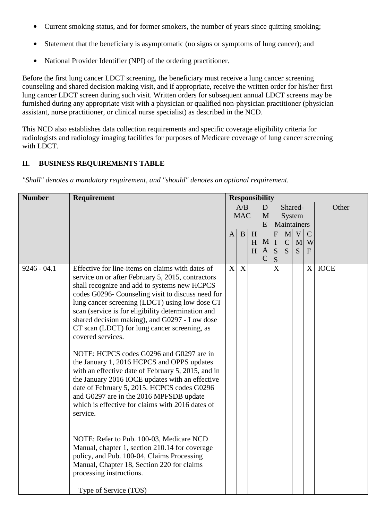- **•** Current smoking status, and for former smokers, the number of years since quitting smoking;
- Statement that the beneficiary is asymptomatic (no signs or symptoms of lung cancer); and
- **•** National Provider Identifier (NPI) of the ordering practitioner.

Before the first lung cancer LDCT screening, the beneficiary must receive a lung cancer screening counseling and shared decision making visit, and if appropriate, receive the written order for his/her first lung cancer LDCT screen during such visit. Written orders for subsequent annual LDCT screens may be furnished during any appropriate visit with a physician or qualified non-physician practitioner (physician assistant, nurse practitioner, or clinical nurse specialist) as described in the NCD.

This NCD also establishes data collection requirements and specific coverage eligibility criteria for radiologists and radiology imaging facilities for purposes of Medicare coverage of lung cancer screening with LDCT.

## **II. BUSINESS REQUIREMENTS TABLE**

*"Shall" denotes a mandatory requirement, and "should" denotes an optional requirement.*

| <b>Number</b> | Requirement                                                                                                                                                                                                                                                                                                                                                                                                                                                                                                                                                                                                                                                                                                                                                                                                                                                                                                                                                                                     | <b>Responsibility</b> |                  |   |                    |                       |              |   |               |          |  |        |  |                       |  |  |  |
|---------------|-------------------------------------------------------------------------------------------------------------------------------------------------------------------------------------------------------------------------------------------------------------------------------------------------------------------------------------------------------------------------------------------------------------------------------------------------------------------------------------------------------------------------------------------------------------------------------------------------------------------------------------------------------------------------------------------------------------------------------------------------------------------------------------------------------------------------------------------------------------------------------------------------------------------------------------------------------------------------------------------------|-----------------------|------------------|---|--------------------|-----------------------|--------------|---|---------------|----------|--|--------|--|-----------------------|--|--|--|
|               |                                                                                                                                                                                                                                                                                                                                                                                                                                                                                                                                                                                                                                                                                                                                                                                                                                                                                                                                                                                                 |                       | A/B              |   | $\mathbf{D}$       |                       | Shared-      |   |               | Other    |  |        |  |                       |  |  |  |
|               |                                                                                                                                                                                                                                                                                                                                                                                                                                                                                                                                                                                                                                                                                                                                                                                                                                                                                                                                                                                                 | <b>MAC</b>            |                  |   |                    |                       |              |   |               |          |  | M<br>E |  | System<br>Maintainers |  |  |  |
|               |                                                                                                                                                                                                                                                                                                                                                                                                                                                                                                                                                                                                                                                                                                                                                                                                                                                                                                                                                                                                 | $\mathbf{A}$          | B                | H |                    | ${\bf F}$             | $\mathbf{M}$ | V | $\mathcal{C}$ |          |  |        |  |                       |  |  |  |
|               |                                                                                                                                                                                                                                                                                                                                                                                                                                                                                                                                                                                                                                                                                                                                                                                                                                                                                                                                                                                                 |                       |                  | H | M                  | $\bf I$               | $\mathsf{C}$ | M | W             |          |  |        |  |                       |  |  |  |
|               |                                                                                                                                                                                                                                                                                                                                                                                                                                                                                                                                                                                                                                                                                                                                                                                                                                                                                                                                                                                                 |                       |                  | H | A<br>$\mathcal{C}$ | S<br>S                | S            | S | $\mathbf{F}$  |          |  |        |  |                       |  |  |  |
| $9246 - 04.1$ | Effective for line-items on claims with dates of<br>service on or after February 5, 2015, contractors<br>shall recognize and add to systems new HCPCS<br>codes G0296- Counseling visit to discuss need for<br>lung cancer screening (LDCT) using low dose CT<br>scan (service is for eligibility determination and<br>shared decision making), and G0297 - Low dose<br>CT scan (LDCT) for lung cancer screening, as<br>covered services.<br>NOTE: HCPCS codes G0296 and G0297 are in<br>the January 1, 2016 HCPCS and OPPS updates<br>with an effective date of February 5, 2015, and in<br>the January 2016 IOCE updates with an effective<br>date of February 5, 2015. HCPCS codes G0296<br>and G0297 are in the 2016 MPFSDB update<br>which is effective for claims with 2016 dates of<br>service.<br>NOTE: Refer to Pub. 100-03, Medicare NCD<br>Manual, chapter 1, section 210.14 for coverage<br>policy, and Pub. 100-04, Claims Processing<br>Manual, Chapter 18, Section 220 for claims | X                     | $\boldsymbol{X}$ |   |                    | $\overline{\text{X}}$ |              |   |               | $X$ IOCE |  |        |  |                       |  |  |  |
|               | processing instructions.                                                                                                                                                                                                                                                                                                                                                                                                                                                                                                                                                                                                                                                                                                                                                                                                                                                                                                                                                                        |                       |                  |   |                    |                       |              |   |               |          |  |        |  |                       |  |  |  |
|               | Type of Service (TOS)                                                                                                                                                                                                                                                                                                                                                                                                                                                                                                                                                                                                                                                                                                                                                                                                                                                                                                                                                                           |                       |                  |   |                    |                       |              |   |               |          |  |        |  |                       |  |  |  |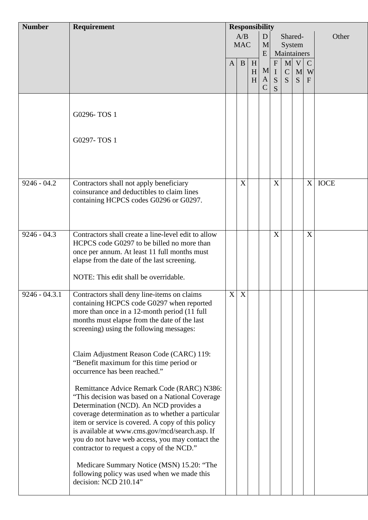| <b>Number</b>   | Requirement                                                                                                                                                                                                                                                                                                                                                                                         | <b>Responsibility</b> |                           |             |                        |                                       |                                      |             |                                  |             |
|-----------------|-----------------------------------------------------------------------------------------------------------------------------------------------------------------------------------------------------------------------------------------------------------------------------------------------------------------------------------------------------------------------------------------------------|-----------------------|---------------------------|-------------|------------------------|---------------------------------------|--------------------------------------|-------------|----------------------------------|-------------|
|                 |                                                                                                                                                                                                                                                                                                                                                                                                     |                       | A/B<br><b>MAC</b>         |             | D<br>E                 | Shared-<br>M<br>System<br>Maintainers |                                      |             |                                  | Other       |
|                 |                                                                                                                                                                                                                                                                                                                                                                                                     | $\mathbf{A}$          | $\mathbf{B}$              | H<br>H<br>H | M<br>A<br>$\mathsf{C}$ | $\mathbf{F}$<br>$\mathbf I$<br>S<br>S | M <sub>l</sub><br>$\mathcal{C}$<br>S | V<br>M<br>S | $\mathbf C$<br>W<br>$\mathbf{F}$ |             |
|                 | G0296-TOS 1                                                                                                                                                                                                                                                                                                                                                                                         |                       |                           |             |                        |                                       |                                      |             |                                  |             |
|                 | G0297-TOS 1                                                                                                                                                                                                                                                                                                                                                                                         |                       |                           |             |                        |                                       |                                      |             |                                  |             |
| $9246 - 04.2$   | Contractors shall not apply beneficiary<br>coinsurance and deductibles to claim lines<br>containing HCPCS codes G0296 or G0297.                                                                                                                                                                                                                                                                     |                       | X                         |             |                        | X                                     |                                      |             | X                                | <b>IOCE</b> |
| $9246 - 04.3$   | Contractors shall create a line-level edit to allow<br>HCPCS code G0297 to be billed no more than<br>once per annum. At least 11 full months must<br>elapse from the date of the last screening.<br>NOTE: This edit shall be overridable.                                                                                                                                                           |                       |                           |             |                        | X                                     |                                      |             | X                                |             |
| $9246 - 04.3.1$ | Contractors shall deny line-items on claims<br>containing HCPCS code G0297 when reported<br>more than once in a 12-month period (11 full<br>months must elapse from the date of the last<br>screening) using the following messages:                                                                                                                                                                | X                     | $\boldsymbol{\mathrm{X}}$ |             |                        |                                       |                                      |             |                                  |             |
|                 | Claim Adjustment Reason Code (CARC) 119:<br>"Benefit maximum for this time period or<br>occurrence has been reached."                                                                                                                                                                                                                                                                               |                       |                           |             |                        |                                       |                                      |             |                                  |             |
|                 | Remittance Advice Remark Code (RARC) N386:<br>"This decision was based on a National Coverage<br>Determination (NCD). An NCD provides a<br>coverage determination as to whether a particular<br>item or service is covered. A copy of this policy<br>is available at www.cms.gov/mcd/search.asp. If<br>you do not have web access, you may contact the<br>contractor to request a copy of the NCD." |                       |                           |             |                        |                                       |                                      |             |                                  |             |
|                 | Medicare Summary Notice (MSN) 15.20: "The<br>following policy was used when we made this<br>decision: NCD 210.14"                                                                                                                                                                                                                                                                                   |                       |                           |             |                        |                                       |                                      |             |                                  |             |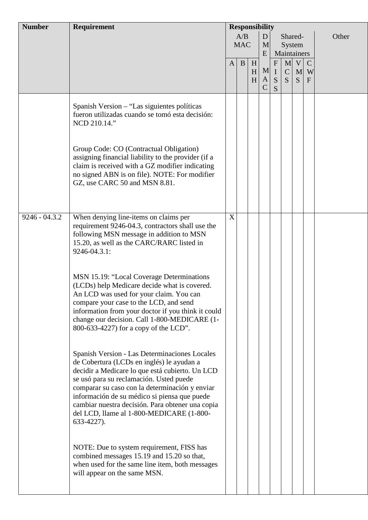| <b>Number</b>   | <b>Requirement</b>                                                                                                                                                                                                                                                                                                                                                                                          | <b>Responsibility</b> |                   |             |                         |                                       |                                   |             |                                  |       |
|-----------------|-------------------------------------------------------------------------------------------------------------------------------------------------------------------------------------------------------------------------------------------------------------------------------------------------------------------------------------------------------------------------------------------------------------|-----------------------|-------------------|-------------|-------------------------|---------------------------------------|-----------------------------------|-------------|----------------------------------|-------|
|                 |                                                                                                                                                                                                                                                                                                                                                                                                             |                       | A/B<br><b>MAC</b> |             | D<br>M<br>E             |                                       | Shared-<br>System<br>Maintainers  |             |                                  | Other |
|                 |                                                                                                                                                                                                                                                                                                                                                                                                             | $\mathbf{A}$          | $\mathbf{B}$      | H<br>H<br>H | M<br>A<br>$\mathcal{C}$ | $\mathbf{F}$<br>$\mathbf I$<br>S<br>S | $\mathbf{M}$<br>$\mathsf{C}$<br>S | V<br>M<br>S | $\mathbf C$<br>W<br>$\mathbf{F}$ |       |
|                 | Spanish Version - "Las siguientes políticas"<br>fueron utilizadas cuando se tomó esta decisión:<br>NCD 210.14."                                                                                                                                                                                                                                                                                             |                       |                   |             |                         |                                       |                                   |             |                                  |       |
|                 | Group Code: CO (Contractual Obligation)<br>assigning financial liability to the provider (if a<br>claim is received with a GZ modifier indicating<br>no signed ABN is on file). NOTE: For modifier<br>GZ, use CARC 50 and MSN 8.81.                                                                                                                                                                         |                       |                   |             |                         |                                       |                                   |             |                                  |       |
| $9246 - 04.3.2$ | When denying line-items on claims per<br>requirement 9246-04.3, contractors shall use the<br>following MSN message in addition to MSN<br>15.20, as well as the CARC/RARC listed in<br>9246-04.3.1:                                                                                                                                                                                                          | X                     |                   |             |                         |                                       |                                   |             |                                  |       |
|                 | MSN 15.19: "Local Coverage Determinations<br>(LCDs) help Medicare decide what is covered.<br>An LCD was used for your claim. You can<br>compare your case to the LCD, and send<br>information from your doctor if you think it could<br>change our decision. Call 1-800-MEDICARE (1-<br>800-633-4227) for a copy of the LCD".                                                                               |                       |                   |             |                         |                                       |                                   |             |                                  |       |
|                 | Spanish Version - Las Determinaciones Locales<br>de Cobertura (LCDs en inglés) le ayudan a<br>decidir a Medicare lo que está cubierto. Un LCD<br>se usó para su reclamación. Usted puede<br>comparar su caso con la determinación y enviar<br>información de su médico si piensa que puede<br>cambiar nuestra decisión. Para obtener una copia<br>del LCD, llame al 1-800-MEDICARE (1-800-<br>$633-4227$ ). |                       |                   |             |                         |                                       |                                   |             |                                  |       |
|                 | NOTE: Due to system requirement, FISS has<br>combined messages 15.19 and 15.20 so that,<br>when used for the same line item, both messages<br>will appear on the same MSN.                                                                                                                                                                                                                                  |                       |                   |             |                         |                                       |                                   |             |                                  |       |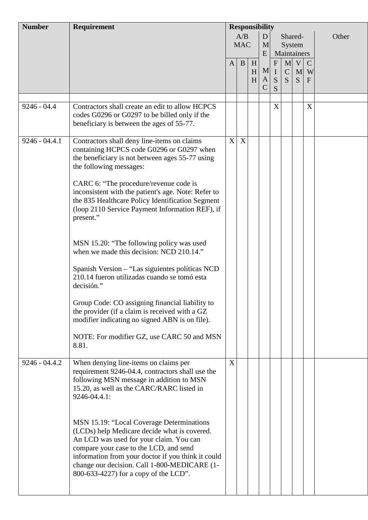| <b>Number</b>   | Requirement                                                                                                                                                                                                                                                                                                                   | <b>Responsibility</b> |                   |             |                        |                                     |                                   |                                  |                                    |       |
|-----------------|-------------------------------------------------------------------------------------------------------------------------------------------------------------------------------------------------------------------------------------------------------------------------------------------------------------------------------|-----------------------|-------------------|-------------|------------------------|-------------------------------------|-----------------------------------|----------------------------------|------------------------------------|-------|
|                 |                                                                                                                                                                                                                                                                                                                               |                       | A/B<br><b>MAC</b> |             | D<br>M<br>E            |                                     |                                   | Shared-<br>System<br>Maintainers |                                    | Other |
|                 |                                                                                                                                                                                                                                                                                                                               | $\mathbf{A}$          | $\mathbf{B}$      | H<br>H<br>H | M<br>A<br>$\mathsf{C}$ | ${\bf F}$<br>$\mathbf{I}$<br>S<br>S | $\mathbf{M}$<br>$\mathsf{C}$<br>S | V<br>S                           | $\mathbf C$<br>M W<br>$\mathbf{F}$ |       |
|                 |                                                                                                                                                                                                                                                                                                                               |                       |                   |             |                        |                                     |                                   |                                  |                                    |       |
| $9246 - 04.4$   | Contractors shall create an edit to allow HCPCS<br>codes G0296 or G0297 to be billed only if the<br>beneficiary is between the ages of 55-77.                                                                                                                                                                                 |                       |                   |             |                        | $\boldsymbol{X}$                    |                                   |                                  | X                                  |       |
| $9246 - 04.4.1$ | Contractors shall deny line-items on claims<br>containing HCPCS code G0296 or G0297 when<br>the beneficiary is not between ages 55-77 using<br>the following messages:                                                                                                                                                        | X                     | X                 |             |                        |                                     |                                   |                                  |                                    |       |
|                 | CARC 6: "The procedure/revenue code is<br>inconsistent with the patient's age. Note: Refer to<br>the 835 Healthcare Policy Identification Segment<br>(loop 2110 Service Payment Information REF), if<br>present."                                                                                                             |                       |                   |             |                        |                                     |                                   |                                  |                                    |       |
|                 | MSN 15.20: "The following policy was used<br>when we made this decision: NCD 210.14."                                                                                                                                                                                                                                         |                       |                   |             |                        |                                     |                                   |                                  |                                    |       |
|                 | Spanish Version – "Las siguientes políticas NCD<br>210.14 fueron utilizadas cuando se tomó esta<br>decisión."                                                                                                                                                                                                                 |                       |                   |             |                        |                                     |                                   |                                  |                                    |       |
|                 | Group Code: CO assigning financial liability to<br>the provider (if a claim is received with a GZ<br>modifier indicating no signed ABN is on file).                                                                                                                                                                           |                       |                   |             |                        |                                     |                                   |                                  |                                    |       |
|                 | NOTE: For modifier GZ, use CARC 50 and MSN<br>8.81.                                                                                                                                                                                                                                                                           |                       |                   |             |                        |                                     |                                   |                                  |                                    |       |
| $9246 - 04.4.2$ | When denying line-items on claims per<br>requirement 9246-04.4, contractors shall use the<br>following MSN message in addition to MSN<br>15.20, as well as the CARC/RARC listed in<br>9246-04.4.1:                                                                                                                            | $\mathbf X$           |                   |             |                        |                                     |                                   |                                  |                                    |       |
|                 | MSN 15.19: "Local Coverage Determinations<br>(LCDs) help Medicare decide what is covered.<br>An LCD was used for your claim. You can<br>compare your case to the LCD, and send<br>information from your doctor if you think it could<br>change our decision. Call 1-800-MEDICARE (1-<br>800-633-4227) for a copy of the LCD". |                       |                   |             |                        |                                     |                                   |                                  |                                    |       |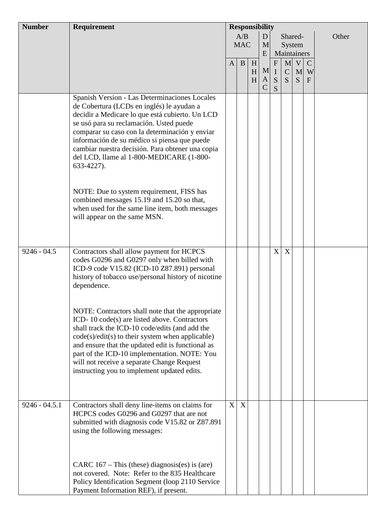| <b>Number</b>   | <b>Requirement</b>                                                                                                                                                                                                                                                                                                                                                                                          | <b>Responsibility</b> |                   |             |                         |                                    |                                  |                       |                                    |       |
|-----------------|-------------------------------------------------------------------------------------------------------------------------------------------------------------------------------------------------------------------------------------------------------------------------------------------------------------------------------------------------------------------------------------------------------------|-----------------------|-------------------|-------------|-------------------------|------------------------------------|----------------------------------|-----------------------|------------------------------------|-------|
|                 |                                                                                                                                                                                                                                                                                                                                                                                                             |                       | A/B<br><b>MAC</b> |             | D<br>M<br>E             |                                    | Shared-<br>System<br>Maintainers |                       |                                    | Other |
|                 |                                                                                                                                                                                                                                                                                                                                                                                                             | $\mathbf{A}$          | $\mathbf B$       | H<br>H<br>H | M<br>A<br>$\mathcal{C}$ | ${\bf F}$<br>$\mathbf I$<br>S<br>S | M<br>$\mathbf{C}$<br>S           | $\mathbf V$<br>M<br>S | $\mathcal{C}$<br>W<br>$\mathbf{F}$ |       |
|                 | Spanish Version - Las Determinaciones Locales<br>de Cobertura (LCDs en inglés) le ayudan a<br>decidir a Medicare lo que está cubierto. Un LCD<br>se usó para su reclamación. Usted puede<br>comparar su caso con la determinación y enviar<br>información de su médico si piensa que puede<br>cambiar nuestra decisión. Para obtener una copia<br>del LCD, llame al 1-800-MEDICARE (1-800-<br>633-4227).    |                       |                   |             |                         |                                    |                                  |                       |                                    |       |
|                 | NOTE: Due to system requirement, FISS has<br>combined messages 15.19 and 15.20 so that,<br>when used for the same line item, both messages<br>will appear on the same MSN.                                                                                                                                                                                                                                  |                       |                   |             |                         |                                    |                                  |                       |                                    |       |
| $9246 - 04.5$   | Contractors shall allow payment for HCPCS<br>codes G0296 and G0297 only when billed with<br>ICD-9 code V15.82 (ICD-10 Z87.891) personal<br>history of tobacco use/personal history of nicotine<br>dependence.                                                                                                                                                                                               |                       |                   |             |                         | X                                  | X                                |                       |                                    |       |
|                 | NOTE: Contractors shall note that the appropriate<br>ICD-10 code(s) are listed above. Contractors<br>shall track the ICD-10 code/edits (and add the<br>$code(s)/edit(s)$ to their system when applicable)<br>and ensure that the updated edit is functional as<br>part of the ICD-10 implementation. NOTE: You<br>will not receive a separate Change Request<br>instructing you to implement updated edits. |                       |                   |             |                         |                                    |                                  |                       |                                    |       |
| $9246 - 04.5.1$ | Contractors shall deny line-items on claims for<br>HCPCS codes G0296 and G0297 that are not<br>submitted with diagnosis code V15.82 or Z87.891<br>using the following messages:                                                                                                                                                                                                                             | X                     | $\mathbf{X}$      |             |                         |                                    |                                  |                       |                                    |       |
|                 | CARC $167 - This$ (these) diagnosis(es) is (are)<br>not covered. Note: Refer to the 835 Healthcare<br>Policy Identification Segment (loop 2110 Service<br>Payment Information REF), if present.                                                                                                                                                                                                             |                       |                   |             |                         |                                    |                                  |                       |                                    |       |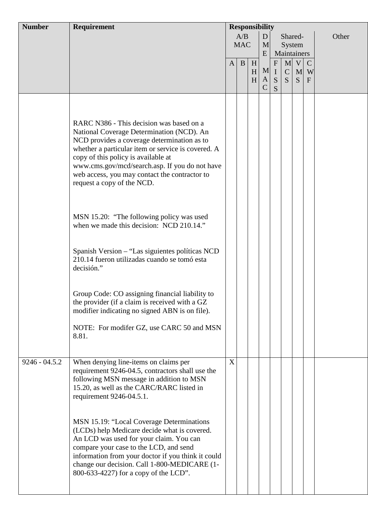| <b>Number</b>   | Requirement                                                                                                                                                                                                                                                                                                                                                        | <b>Responsibility</b> |                   |             |                                          |                                  |                   |                        |                                    |       |
|-----------------|--------------------------------------------------------------------------------------------------------------------------------------------------------------------------------------------------------------------------------------------------------------------------------------------------------------------------------------------------------------------|-----------------------|-------------------|-------------|------------------------------------------|----------------------------------|-------------------|------------------------|------------------------------------|-------|
|                 |                                                                                                                                                                                                                                                                                                                                                                    |                       | A/B<br><b>MAC</b> |             | D<br>M                                   |                                  | Shared-<br>System |                        |                                    | Other |
|                 |                                                                                                                                                                                                                                                                                                                                                                    | $\mathbf{A}$          | $\mathbf{B}$      | H<br>H<br>H | E<br>$\mathbf{M}$<br> A <br>$\mathsf{C}$ | $\mathbf F$<br>$\rm I$<br>S<br>S | Maintainers<br>S  | M V<br>$C \mid M$<br>S | $\mathcal{C}$<br>W<br>$\mathbf{F}$ |       |
|                 | RARC N386 - This decision was based on a<br>National Coverage Determination (NCD). An<br>NCD provides a coverage determination as to<br>whether a particular item or service is covered. A<br>copy of this policy is available at<br>www.cms.gov/mcd/search.asp. If you do not have<br>web access, you may contact the contractor to<br>request a copy of the NCD. |                       |                   |             |                                          |                                  |                   |                        |                                    |       |
|                 | MSN 15.20: "The following policy was used<br>when we made this decision: NCD 210.14."                                                                                                                                                                                                                                                                              |                       |                   |             |                                          |                                  |                   |                        |                                    |       |
|                 | Spanish Version - "Las siguientes políticas NCD<br>210.14 fueron utilizadas cuando se tomó esta<br>decisión."                                                                                                                                                                                                                                                      |                       |                   |             |                                          |                                  |                   |                        |                                    |       |
|                 | Group Code: CO assigning financial liability to<br>the provider (if a claim is received with a GZ<br>modifier indicating no signed ABN is on file).                                                                                                                                                                                                                |                       |                   |             |                                          |                                  |                   |                        |                                    |       |
|                 | NOTE: For modifer GZ, use CARC 50 and MSN<br>8.81.                                                                                                                                                                                                                                                                                                                 |                       |                   |             |                                          |                                  |                   |                        |                                    |       |
| $9246 - 04.5.2$ | When denying line-items on claims per<br>requirement 9246-04.5, contractors shall use the<br>following MSN message in addition to MSN<br>15.20, as well as the CARC/RARC listed in<br>requirement 9246-04.5.1.<br>MSN 15.19: "Local Coverage Determinations<br>(LCDs) help Medicare decide what is covered.                                                        | X                     |                   |             |                                          |                                  |                   |                        |                                    |       |
|                 | An LCD was used for your claim. You can<br>compare your case to the LCD, and send<br>information from your doctor if you think it could<br>change our decision. Call 1-800-MEDICARE (1-<br>800-633-4227) for a copy of the LCD".                                                                                                                                   |                       |                   |             |                                          |                                  |                   |                        |                                    |       |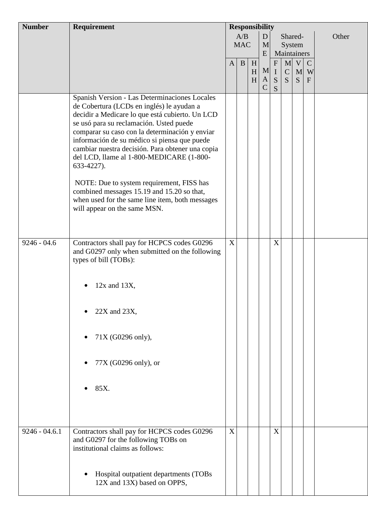| <b>Number</b>   | Requirement                                                                                                                                                                                                                                                                                                                                                                                                                                                                                                                                                                                                                           | <b>Responsibility</b> |                   |                                     |                                         |                                    |                                                   |                        |                                  |       |
|-----------------|---------------------------------------------------------------------------------------------------------------------------------------------------------------------------------------------------------------------------------------------------------------------------------------------------------------------------------------------------------------------------------------------------------------------------------------------------------------------------------------------------------------------------------------------------------------------------------------------------------------------------------------|-----------------------|-------------------|-------------------------------------|-----------------------------------------|------------------------------------|---------------------------------------------------|------------------------|----------------------------------|-------|
|                 |                                                                                                                                                                                                                                                                                                                                                                                                                                                                                                                                                                                                                                       |                       | A/B<br><b>MAC</b> |                                     | D<br>M                                  |                                    | Shared-<br>System                                 |                        |                                  | Other |
|                 |                                                                                                                                                                                                                                                                                                                                                                                                                                                                                                                                                                                                                                       | $\mathbf{A}$          | $\mathbf{B}$      | $\boldsymbol{\mathrm{H}}$<br>H<br>H | E<br>$\mathbf{M}$<br>A<br>$\mathcal{C}$ | ${\bf F}$<br>$\mathbf I$<br>S<br>S | Maintainers<br>M <sub>l</sub><br>$\mathbf C$<br>S | $\mathbf{V}$<br>M<br>S | $\mathbf C$<br>W<br>$\mathbf{F}$ |       |
| $9246 - 04.6$   | Spanish Version - Las Determinaciones Locales<br>de Cobertura (LCDs en inglés) le ayudan a<br>decidir a Medicare lo que está cubierto. Un LCD<br>se usó para su reclamación. Usted puede<br>comparar su caso con la determinación y enviar<br>información de su médico si piensa que puede<br>cambiar nuestra decisión. Para obtener una copia<br>del LCD, llame al 1-800-MEDICARE (1-800-<br>633-4227).<br>NOTE: Due to system requirement, FISS has<br>combined messages 15.19 and 15.20 so that,<br>when used for the same line item, both messages<br>will appear on the same MSN.<br>Contractors shall pay for HCPCS codes G0296 | X                     |                   |                                     |                                         | X                                  |                                                   |                        |                                  |       |
| $9246 - 04.6.1$ | and G0297 only when submitted on the following<br>types of bill (TOBs):<br>$12x$ and $13X$ ,<br>$22X$ and $23X$ ,<br>71X (G0296 only),<br>77X (G0296 only), or<br>85X.                                                                                                                                                                                                                                                                                                                                                                                                                                                                | X                     |                   |                                     |                                         | X                                  |                                                   |                        |                                  |       |
|                 | Contractors shall pay for HCPCS codes G0296<br>and G0297 for the following TOBs on<br>institutional claims as follows:<br>Hospital outpatient departments (TOBs<br>12X and 13X) based on OPPS,                                                                                                                                                                                                                                                                                                                                                                                                                                        |                       |                   |                                     |                                         |                                    |                                                   |                        |                                  |       |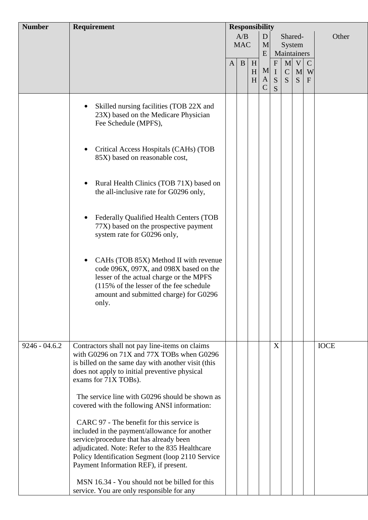| <b>Number</b>   | <b>Requirement</b>                                                                                                                                                                                                                                                                                                                    | <b>Responsibility</b> |              |                     |               |                          |                  |                  |                    |             |
|-----------------|---------------------------------------------------------------------------------------------------------------------------------------------------------------------------------------------------------------------------------------------------------------------------------------------------------------------------------------|-----------------------|--------------|---------------------|---------------|--------------------------|------------------|------------------|--------------------|-------------|
|                 |                                                                                                                                                                                                                                                                                                                                       |                       | A/B          |                     | D             |                          | Shared-          |                  |                    | Other       |
|                 |                                                                                                                                                                                                                                                                                                                                       |                       | <b>MAC</b>   |                     | M             |                          | System           |                  |                    |             |
|                 |                                                                                                                                                                                                                                                                                                                                       |                       |              |                     | E             | Maintainers<br>${\bf F}$ |                  |                  |                    |             |
|                 |                                                                                                                                                                                                                                                                                                                                       | $\mathbf{A}$          | $\mathbf{B}$ | H<br>H <sub>l</sub> | M             | $\mathbf I$              | M<br>$\mathbf C$ | $\mathbf V$<br>M | $\mathcal{C}$<br>W |             |
|                 |                                                                                                                                                                                                                                                                                                                                       |                       |              | H                   | A             | ${\bf S}$                | S                | S.               | $\mathbf{F}$       |             |
|                 |                                                                                                                                                                                                                                                                                                                                       |                       |              |                     | $\mathcal{C}$ | S                        |                  |                  |                    |             |
|                 | Skilled nursing facilities (TOB 22X and<br>23X) based on the Medicare Physician<br>Fee Schedule (MPFS),                                                                                                                                                                                                                               |                       |              |                     |               |                          |                  |                  |                    |             |
|                 | Critical Access Hospitals (CAHs) (TOB<br>$\bullet$<br>85X) based on reasonable cost,                                                                                                                                                                                                                                                  |                       |              |                     |               |                          |                  |                  |                    |             |
|                 | Rural Health Clinics (TOB 71X) based on<br>$\bullet$<br>the all-inclusive rate for G0296 only,                                                                                                                                                                                                                                        |                       |              |                     |               |                          |                  |                  |                    |             |
|                 | Federally Qualified Health Centers (TOB<br>٠<br>77X) based on the prospective payment<br>system rate for G0296 only,                                                                                                                                                                                                                  |                       |              |                     |               |                          |                  |                  |                    |             |
|                 | CAHs (TOB 85X) Method II with revenue<br>$\bullet$<br>code 096X, 097X, and 098X based on the<br>lesser of the actual charge or the MPFS<br>(115% of the lesser of the fee schedule<br>amount and submitted charge) for G0296<br>only.                                                                                                 |                       |              |                     |               |                          |                  |                  |                    |             |
|                 |                                                                                                                                                                                                                                                                                                                                       |                       |              |                     |               |                          |                  |                  |                    |             |
| $9246 - 04.6.2$ | Contractors shall not pay line-items on claims<br>with G0296 on 71X and 77X TOBs when G0296<br>is billed on the same day with another visit (this<br>does not apply to initial preventive physical<br>exams for 71X TOBs).                                                                                                            |                       |              |                     |               | X                        |                  |                  |                    | <b>IOCE</b> |
|                 | The service line with G0296 should be shown as<br>covered with the following ANSI information:                                                                                                                                                                                                                                        |                       |              |                     |               |                          |                  |                  |                    |             |
|                 | CARC 97 - The benefit for this service is<br>included in the payment/allowance for another<br>service/procedure that has already been<br>adjudicated. Note: Refer to the 835 Healthcare<br>Policy Identification Segment (loop 2110 Service<br>Payment Information REF), if present.<br>MSN 16.34 - You should not be billed for this |                       |              |                     |               |                          |                  |                  |                    |             |
|                 | service. You are only responsible for any                                                                                                                                                                                                                                                                                             |                       |              |                     |               |                          |                  |                  |                    |             |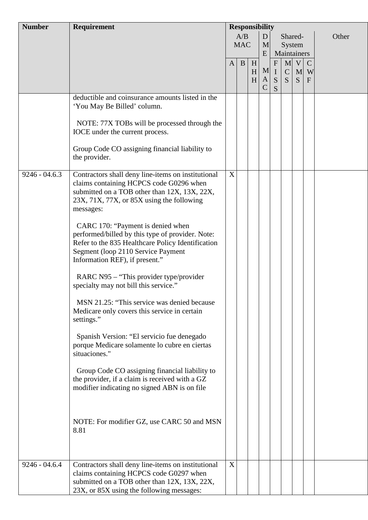| <b>Number</b>   | Requirement                                                                                                                                                                                                        | <b>Responsibility</b> |                   |        |                    |               |                   |         |                   |       |
|-----------------|--------------------------------------------------------------------------------------------------------------------------------------------------------------------------------------------------------------------|-----------------------|-------------------|--------|--------------------|---------------|-------------------|---------|-------------------|-------|
|                 |                                                                                                                                                                                                                    |                       | A/B<br><b>MAC</b> |        | D<br>M             |               | Shared-<br>System |         |                   | Other |
|                 |                                                                                                                                                                                                                    | $\mathbf{A}$          | B                 | H      | E                  | $\mathbf{F}$  | Maintainers<br>M  | V       | $\mathbf C$       |       |
|                 |                                                                                                                                                                                                                    |                       |                   | H<br>H | A<br>$\mathcal{C}$ | M I<br>S<br>S | $\mathbf C$<br>S. | M<br>S. | W<br>$\mathbf{F}$ |       |
|                 | deductible and coinsurance amounts listed in the<br>'You May Be Billed' column.                                                                                                                                    |                       |                   |        |                    |               |                   |         |                   |       |
|                 | NOTE: 77X TOBs will be processed through the<br>IOCE under the current process.                                                                                                                                    |                       |                   |        |                    |               |                   |         |                   |       |
|                 | Group Code CO assigning financial liability to<br>the provider.                                                                                                                                                    |                       |                   |        |                    |               |                   |         |                   |       |
| $9246 - 04.6.3$ | Contractors shall deny line-items on institutional<br>claims containing HCPCS code G0296 when<br>submitted on a TOB other than 12X, 13X, 22X,<br>23X, 71X, 77X, or 85X using the following<br>messages:            | X                     |                   |        |                    |               |                   |         |                   |       |
|                 | CARC 170: "Payment is denied when<br>performed/billed by this type of provider. Note:<br>Refer to the 835 Healthcare Policy Identification<br>Segment (loop 2110 Service Payment<br>Information REF), if present." |                       |                   |        |                    |               |                   |         |                   |       |
|                 | RARC N95 – "This provider type/provider<br>specialty may not bill this service."                                                                                                                                   |                       |                   |        |                    |               |                   |         |                   |       |
|                 | MSN 21.25: "This service was denied because<br>Medicare only covers this service in certain<br>settings."                                                                                                          |                       |                   |        |                    |               |                   |         |                   |       |
|                 | Spanish Version: "El servicio fue denegado<br>porque Medicare solamente lo cubre en ciertas<br>situaciones."                                                                                                       |                       |                   |        |                    |               |                   |         |                   |       |
|                 | Group Code CO assigning financial liability to<br>the provider, if a claim is received with a GZ<br>modifier indicating no signed ABN is on file                                                                   |                       |                   |        |                    |               |                   |         |                   |       |
|                 | NOTE: For modifier GZ, use CARC 50 and MSN<br>8.81                                                                                                                                                                 |                       |                   |        |                    |               |                   |         |                   |       |
| $9246 - 04.6.4$ | Contractors shall deny line-items on institutional<br>claims containing HCPCS code G0297 when<br>submitted on a TOB other than 12X, 13X, 22X,<br>23X, or 85X using the following messages:                         | X                     |                   |        |                    |               |                   |         |                   |       |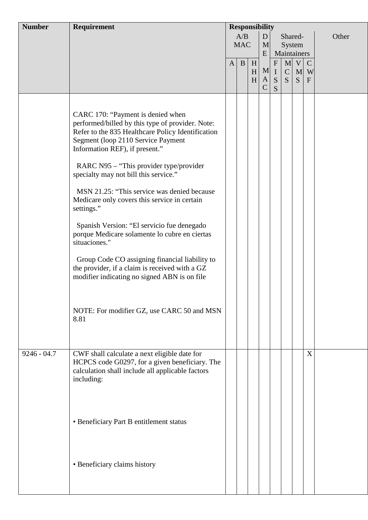| <b>Number</b> | Requirement                                                                                                                                                                                                                                                                                                                                                                                                                                                                                                                                                                                                                                                                                                                                   | <b>Responsibility</b> |                        |                                     |                               |                                               |                                            |                |                                               |  |  |  |  |       |
|---------------|-----------------------------------------------------------------------------------------------------------------------------------------------------------------------------------------------------------------------------------------------------------------------------------------------------------------------------------------------------------------------------------------------------------------------------------------------------------------------------------------------------------------------------------------------------------------------------------------------------------------------------------------------------------------------------------------------------------------------------------------------|-----------------------|------------------------|-------------------------------------|-------------------------------|-----------------------------------------------|--------------------------------------------|----------------|-----------------------------------------------|--|--|--|--|-------|
|               |                                                                                                                                                                                                                                                                                                                                                                                                                                                                                                                                                                                                                                                                                                                                               |                       | A/B<br><b>MAC</b><br>E |                                     |                               |                                               | D<br>Shared-<br>M<br>System<br>Maintainers |                |                                               |  |  |  |  | Other |
|               |                                                                                                                                                                                                                                                                                                                                                                                                                                                                                                                                                                                                                                                                                                                                               | $\mathbf{A}$          | B                      | $\boldsymbol{\mathrm{H}}$<br>H<br>H | $\mathbf{A}$<br>$\mathcal{C}$ | ${\bf F}$<br>M <sub>l</sub><br>${\bf S}$<br>S | $\mathbf C$<br>S                           | M V <br>M<br>S | $\mathbf C$<br>W<br>$\boldsymbol{\mathrm{F}}$ |  |  |  |  |       |
|               | CARC 170: "Payment is denied when<br>performed/billed by this type of provider. Note:<br>Refer to the 835 Healthcare Policy Identification<br>Segment (loop 2110 Service Payment<br>Information REF), if present."<br>RARC N95 - "This provider type/provider<br>specialty may not bill this service."<br>MSN 21.25: "This service was denied because<br>Medicare only covers this service in certain<br>settings."<br>Spanish Version: "El servicio fue denegado<br>porque Medicare solamente lo cubre en ciertas<br>situaciones."<br>Group Code CO assigning financial liability to<br>the provider, if a claim is received with a GZ<br>modifier indicating no signed ABN is on file<br>NOTE: For modifier GZ, use CARC 50 and MSN<br>8.81 |                       |                        |                                     |                               |                                               |                                            |                |                                               |  |  |  |  |       |
| $9246 - 04.7$ | CWF shall calculate a next eligible date for<br>HCPCS code G0297, for a given beneficiary. The<br>calculation shall include all applicable factors<br>including:<br>• Beneficiary Part B entitlement status                                                                                                                                                                                                                                                                                                                                                                                                                                                                                                                                   |                       |                        |                                     |                               |                                               |                                            |                | X                                             |  |  |  |  |       |
|               | • Beneficiary claims history                                                                                                                                                                                                                                                                                                                                                                                                                                                                                                                                                                                                                                                                                                                  |                       |                        |                                     |                               |                                               |                                            |                |                                               |  |  |  |  |       |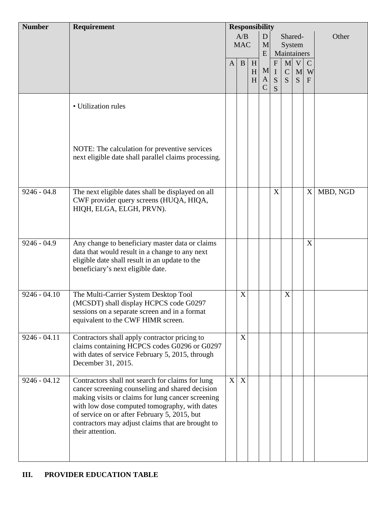| <b>Number</b>  | Requirement                                                                                                                                                                                                                                                                                                                        | <b>Responsibility</b> |                     |   |               |                           |               |   |               |          |
|----------------|------------------------------------------------------------------------------------------------------------------------------------------------------------------------------------------------------------------------------------------------------------------------------------------------------------------------------------|-----------------------|---------------------|---|---------------|---------------------------|---------------|---|---------------|----------|
|                |                                                                                                                                                                                                                                                                                                                                    |                       | A/B<br>D<br>Shared- |   |               |                           | Other         |   |               |          |
|                |                                                                                                                                                                                                                                                                                                                                    |                       | <b>MAC</b>          |   | M             |                           | System        |   |               |          |
|                |                                                                                                                                                                                                                                                                                                                                    |                       |                     |   | E             |                           | Maintainers   |   |               |          |
|                |                                                                                                                                                                                                                                                                                                                                    | $\mathbf{A}$          | $\mathbf{B}$        | H |               | $\boldsymbol{\mathrm{F}}$ | M             | V | $\mathcal{C}$ |          |
|                |                                                                                                                                                                                                                                                                                                                                    |                       |                     | H | M             | $\mathbf I$               | $\mathcal{C}$ | M | W             |          |
|                |                                                                                                                                                                                                                                                                                                                                    |                       |                     | H | A             | S                         | S             | S | $\mathbf{F}$  |          |
|                |                                                                                                                                                                                                                                                                                                                                    |                       |                     |   | $\mathcal{C}$ | S                         |               |   |               |          |
|                | • Utilization rules                                                                                                                                                                                                                                                                                                                |                       |                     |   |               |                           |               |   |               |          |
|                | NOTE: The calculation for preventive services<br>next eligible date shall parallel claims processing.                                                                                                                                                                                                                              |                       |                     |   |               |                           |               |   |               |          |
| $9246 - 04.8$  | The next eligible dates shall be displayed on all<br>CWF provider query screens (HUQA, HIQA,<br>HIQH, ELGA, ELGH, PRVN).                                                                                                                                                                                                           |                       |                     |   |               | X                         |               |   | X             | MBD, NGD |
| $9246 - 04.9$  | Any change to beneficiary master data or claims<br>data that would result in a change to any next<br>eligible date shall result in an update to the<br>beneficiary's next eligible date.                                                                                                                                           |                       |                     |   |               |                           |               |   | X             |          |
| $9246 - 04.10$ | The Multi-Carrier System Desktop Tool<br>(MCSDT) shall display HCPCS code G0297<br>sessions on a separate screen and in a format<br>equivalent to the CWF HIMR screen.                                                                                                                                                             |                       | X                   |   |               |                           | X             |   |               |          |
| $9246 - 04.11$ | Contractors shall apply contractor pricing to<br>claims containing HCPCS codes G0296 or G0297<br>with dates of service February 5, 2015, through<br>December 31, 2015.                                                                                                                                                             |                       | X                   |   |               |                           |               |   |               |          |
| $9246 - 04.12$ | Contractors shall not search for claims for lung<br>cancer screening counseling and shared decision<br>making visits or claims for lung cancer screening<br>with low dose computed tomography, with dates<br>of service on or after February 5, 2015, but<br>contractors may adjust claims that are brought to<br>their attention. | X                     | $\boldsymbol{X}$    |   |               |                           |               |   |               |          |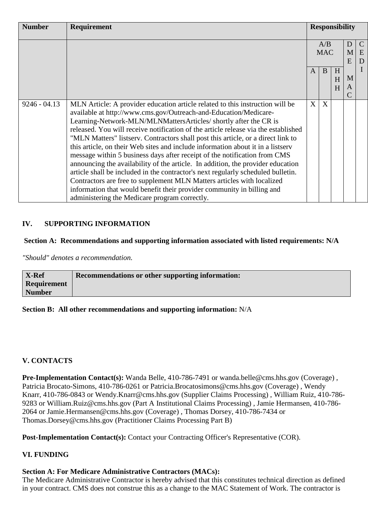| <b>Number</b>  | Requirement                                                                                                                                                                                                                                                                                                                                                                                                                                                                                                                                                                                                                                                                                                                                                                                                                                                                                                                                 | <b>Responsibility</b> |   |             |                         |  |
|----------------|---------------------------------------------------------------------------------------------------------------------------------------------------------------------------------------------------------------------------------------------------------------------------------------------------------------------------------------------------------------------------------------------------------------------------------------------------------------------------------------------------------------------------------------------------------------------------------------------------------------------------------------------------------------------------------------------------------------------------------------------------------------------------------------------------------------------------------------------------------------------------------------------------------------------------------------------|-----------------------|---|-------------|-------------------------|--|
|                |                                                                                                                                                                                                                                                                                                                                                                                                                                                                                                                                                                                                                                                                                                                                                                                                                                                                                                                                             | A/B<br><b>MAC</b>     |   | D<br>M<br>E | $\mathcal{C}$<br>E<br>D |  |
|                |                                                                                                                                                                                                                                                                                                                                                                                                                                                                                                                                                                                                                                                                                                                                                                                                                                                                                                                                             | $\mathsf{A}$          | B | H<br>H<br>H | M<br>A                  |  |
| $9246 - 04.13$ | MLN Article: A provider education article related to this instruction will be<br>available at http://www.cms.gov/Outreach-and-Education/Medicare-<br>Learning-Network-MLN/MLNMattersArticles/ shortly after the CR is<br>released. You will receive notification of the article release via the established<br>"MLN Matters" listserv. Contractors shall post this article, or a direct link to<br>this article, on their Web sites and include information about it in a listserv<br>message within 5 business days after receipt of the notification from CMS<br>announcing the availability of the article. In addition, the provider education<br>article shall be included in the contractor's next regularly scheduled bulletin.<br>Contractors are free to supplement MLN Matters articles with localized<br>information that would benefit their provider community in billing and<br>administering the Medicare program correctly. | X                     | X |             |                         |  |

#### **IV. SUPPORTING INFORMATION**

#### **Section A: Recommendations and supporting information associated with listed requirements: N/A**

*"Should" denotes a recommendation.*

| <b>X-Ref</b>       | Recommendations or other supporting information: |
|--------------------|--------------------------------------------------|
| <b>Requirement</b> |                                                  |
| <b>Number</b>      |                                                  |

#### **Section B: All other recommendations and supporting information:** N/A

#### **V. CONTACTS**

**Pre-Implementation Contact(s):** Wanda Belle, 410-786-7491 or wanda.belle@cms.hhs.gov (Coverage), Patricia Brocato-Simons, 410-786-0261 or Patricia.Brocatosimons@cms.hhs.gov (Coverage) , Wendy Knarr, 410-786-0843 or Wendy.Knarr@cms.hhs.gov (Supplier Claims Processing) , William Ruiz, 410-786- 9283 or William.Ruiz@cms.hhs.gov (Part A Institutional Claims Processing) , Jamie Hermansen, 410-786- 2064 or Jamie.Hermansen@cms.hhs.gov (Coverage) , Thomas Dorsey, 410-786-7434 or Thomas.Dorsey@cms.hhs.gov (Practitioner Claims Processing Part B)

Post-Implementation Contact(s): Contact your Contracting Officer's Representative (COR).

#### **VI. FUNDING**

#### **Section A: For Medicare Administrative Contractors (MACs):**

The Medicare Administrative Contractor is hereby advised that this constitutes technical direction as defined in your contract. CMS does not construe this as a change to the MAC Statement of Work. The contractor is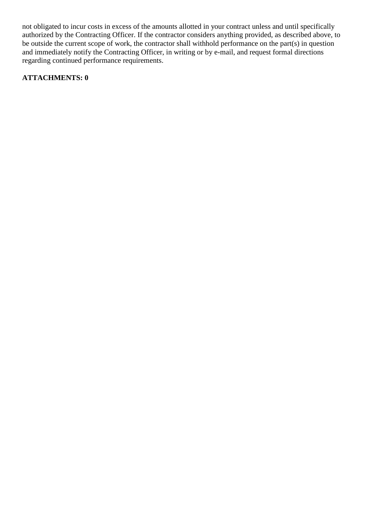not obligated to incur costs in excess of the amounts allotted in your contract unless and until specifically authorized by the Contracting Officer. If the contractor considers anything provided, as described above, to be outside the current scope of work, the contractor shall withhold performance on the part(s) in question and immediately notify the Contracting Officer, in writing or by e-mail, and request formal directions regarding continued performance requirements.

#### **ATTACHMENTS: 0**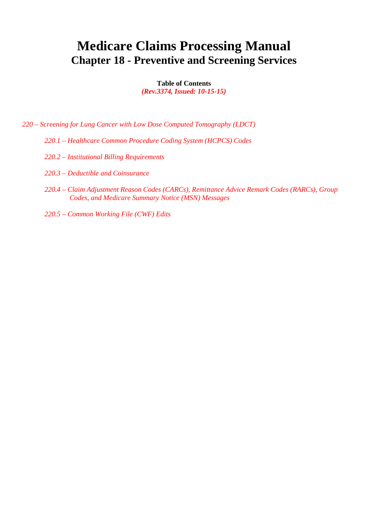# **Medicare Claims Processing Manual Chapter 18 - Preventive and Screening Services**

**Table of Contents** *(Rev.3374, Issued: 10-15-15)*

*220 – Screening for Lung Cancer with Low Dose Computed Tomography (LDCT)*

- *220.1 – Healthcare Common Procedure Coding System (HCPCS) Codes*
- *220.2 – Institutional Billing Requirements*
- *220.3 – Deductible and Coinsurance*
- *220.4 – Claim Adjustment Reason Codes (CARCs), Remittance Advice Remark Codes (RARCs), Group Codes, and Medicare Summary Notice (MSN) Messages*
- *220.5 – Common Working File (CWF) Edits*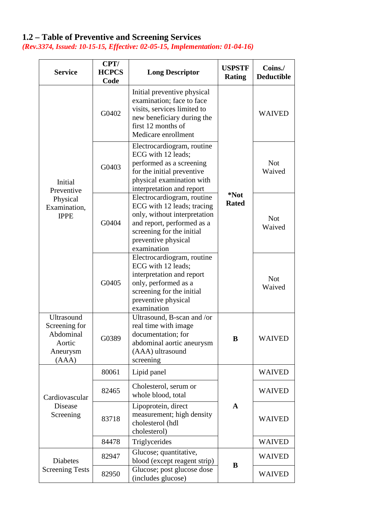## **1.2 – Table of Preventive and Screening Services**

*(Rev.3374, Issued: 10-15-15, Effective: 02-05-15, Implementation: 01-04-16)*

| <b>Service</b>                                                                 | CPT/<br><b>HCPCS</b><br>Code | <b>Long Descriptor</b>                                                                                                                                                                    | <b>USPSTF</b><br><b>Rating</b> | Coins./<br><b>Deductible</b> |
|--------------------------------------------------------------------------------|------------------------------|-------------------------------------------------------------------------------------------------------------------------------------------------------------------------------------------|--------------------------------|------------------------------|
| Initial<br>Preventive<br>Physical<br>Examination,<br><b>IPPE</b>               | G0402                        | Initial preventive physical<br>examination; face to face<br>visits, services limited to<br>new beneficiary during the<br>first 12 months of<br>Medicare enrollment                        |                                | <b>WAIVED</b>                |
|                                                                                | G0403                        | Electrocardiogram, routine<br>ECG with 12 leads;<br>performed as a screening<br>for the initial preventive<br>physical examination with<br>interpretation and report                      |                                | <b>Not</b><br>Waived         |
|                                                                                | G0404                        | Electrocardiogram, routine<br>ECG with 12 leads; tracing<br>only, without interpretation<br>and report, performed as a<br>screening for the initial<br>preventive physical<br>examination | *Not<br><b>Rated</b>           | <b>Not</b><br>Waived         |
|                                                                                | G0405                        | Electrocardiogram, routine<br>ECG with 12 leads;<br>interpretation and report<br>only, performed as a<br>screening for the initial<br>preventive physical<br>examination                  |                                | <b>Not</b><br>Waived         |
| <b>Ultrasound</b><br>Screening for<br>Abdominal<br>Aortic<br>Aneurysm<br>(AAA) | G0389                        | Ultrasound, B-scan and /or<br>real time with image<br>documentation: for<br>abdominal aortic aneurysm<br>(AAA) ultrasound<br>screening                                                    | B                              | <b>WAIVED</b>                |
|                                                                                | 80061                        | Lipid panel                                                                                                                                                                               |                                | <b>WAIVED</b>                |
| Cardiovascular                                                                 | 82465                        | Cholesterol, serum or<br>whole blood, total                                                                                                                                               |                                | <b>WAIVED</b>                |
| Disease<br>Screening                                                           | 83718                        | Lipoprotein, direct<br>measurement; high density<br>cholesterol (hdl<br>cholesterol)                                                                                                      | $\mathbf{A}$                   | <b>WAIVED</b>                |
|                                                                                | 84478                        | Triglycerides                                                                                                                                                                             |                                | <b>WAIVED</b>                |
| Diabetes                                                                       | 82947                        | Glucose; quantitative,<br>blood (except reagent strip)                                                                                                                                    | B                              | <b>WAIVED</b>                |
| <b>Screening Tests</b>                                                         | 82950                        | Glucose; post glucose dose<br>(includes glucose)                                                                                                                                          |                                | <b>WAIVED</b>                |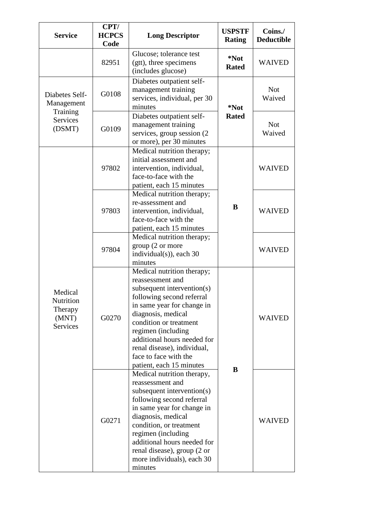| <b>Service</b>                                                        | CPT/<br><b>HCPCS</b><br>Code                                                                  | <b>Long Descriptor</b>                                                                                                                                                                                                                                                                                                           | <b>USPSTF</b><br><b>Rating</b> | Coins./<br><b>Deductible</b> |
|-----------------------------------------------------------------------|-----------------------------------------------------------------------------------------------|----------------------------------------------------------------------------------------------------------------------------------------------------------------------------------------------------------------------------------------------------------------------------------------------------------------------------------|--------------------------------|------------------------------|
|                                                                       | 82951                                                                                         | Glucose; tolerance test<br>(gtt), three specimens<br>(includes glucose)                                                                                                                                                                                                                                                          | *Not<br><b>Rated</b>           | <b>WAIVED</b>                |
| Diabetes Self-<br>Management<br>Training<br><b>Services</b><br>(DSMT) | G0108                                                                                         | Diabetes outpatient self-<br>management training<br>services, individual, per 30<br>minutes<br>*Not                                                                                                                                                                                                                              |                                | <b>Not</b><br>Waived         |
|                                                                       | G0109                                                                                         | Diabetes outpatient self-<br>management training<br>services, group session (2)<br>or more), per 30 minutes                                                                                                                                                                                                                      | <b>Rated</b>                   | <b>Not</b><br>Waived         |
|                                                                       | 97802                                                                                         | Medical nutrition therapy;<br>initial assessment and<br>intervention, individual,<br>face-to-face with the<br>patient, each 15 minutes                                                                                                                                                                                           |                                | <b>WAIVED</b>                |
| Medical<br>Nutrition<br>Therapy<br>(MNT)<br><b>Services</b>           | 97803                                                                                         | Medical nutrition therapy;<br>re-assessment and<br>intervention, individual,<br>face-to-face with the<br>patient, each 15 minutes                                                                                                                                                                                                | B                              | <b>WAIVED</b>                |
|                                                                       | Medical nutrition therapy;<br>group (2 or more<br>97804<br>individual(s)), each 30<br>minutes |                                                                                                                                                                                                                                                                                                                                  |                                | <b>WAIVED</b>                |
|                                                                       | G0270                                                                                         | Medical nutrition therapy;<br>reassessment and<br>subsequent intervention(s)<br>following second referral<br>in same year for change in<br>diagnosis, medical<br>condition or treatment<br>regimen (including<br>additional hours needed for<br>renal disease), individual,<br>face to face with the<br>patient, each 15 minutes | B                              | <b>WAIVED</b>                |
|                                                                       | G0271                                                                                         | Medical nutrition therapy,<br>reassessment and<br>subsequent intervention(s)<br>following second referral<br>in same year for change in<br>diagnosis, medical<br>condition, or treatment<br>regimen (including<br>additional hours needed for<br>renal disease), group (2 or<br>more individuals), each 30<br>minutes            |                                | <b>WAIVED</b>                |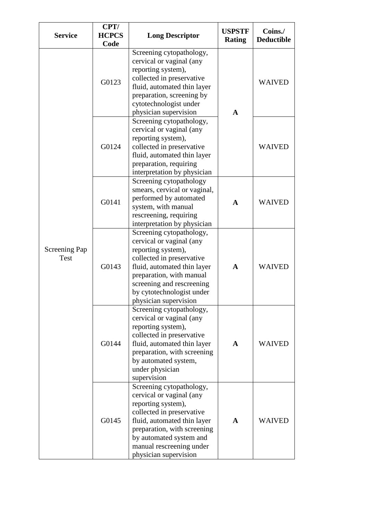| <b>Service</b>       | CPT/<br><b>HCPCS</b> | <b>Long Descriptor</b>                                   | <b>USPSTF</b> | Coins./           |
|----------------------|----------------------|----------------------------------------------------------|---------------|-------------------|
|                      | Code                 |                                                          | <b>Rating</b> | <b>Deductible</b> |
|                      |                      | Screening cytopathology,                                 |               |                   |
|                      |                      | cervical or vaginal (any                                 |               |                   |
|                      |                      | reporting system),                                       |               |                   |
|                      | G0123                | collected in preservative                                |               | <b>WAIVED</b>     |
|                      |                      | fluid, automated thin layer<br>preparation, screening by | A             |                   |
|                      |                      | cytotechnologist under                                   |               |                   |
|                      |                      | physician supervision                                    |               |                   |
|                      |                      | Screening cytopathology,                                 |               |                   |
|                      |                      | cervical or vaginal (any                                 |               |                   |
|                      |                      | reporting system),                                       |               |                   |
|                      | G0124                | collected in preservative                                |               | <b>WAIVED</b>     |
|                      |                      | fluid, automated thin layer                              |               |                   |
|                      |                      | preparation, requiring                                   |               |                   |
|                      |                      | interpretation by physician                              |               |                   |
|                      |                      | Screening cytopathology                                  |               |                   |
|                      | G0141                | smears, cervical or vaginal,                             |               |                   |
|                      |                      | performed by automated<br>system, with manual            | $\mathbf{A}$  | <b>WAIVED</b>     |
|                      |                      | rescreening, requiring                                   |               |                   |
|                      |                      | interpretation by physician                              |               |                   |
|                      |                      | Screening cytopathology,                                 |               |                   |
|                      |                      | cervical or vaginal (any                                 |               |                   |
| <b>Screening Pap</b> |                      | reporting system),                                       |               |                   |
| Test                 |                      | collected in preservative                                |               |                   |
|                      | G0143                | fluid, automated thin layer                              | $\mathbf{A}$  | <b>WAIVED</b>     |
|                      |                      | preparation, with manual                                 |               |                   |
|                      |                      | screening and rescreening                                |               |                   |
|                      |                      | by cytotechnologist under                                |               |                   |
|                      |                      | physician supervision                                    |               |                   |
|                      |                      | Screening cytopathology,<br>cervical or vaginal (any     |               |                   |
|                      |                      | reporting system),                                       |               |                   |
|                      |                      | collected in preservative                                |               |                   |
|                      | G0144                | fluid, automated thin layer                              | $\mathbf{A}$  | <b>WAIVED</b>     |
|                      |                      | preparation, with screening                              |               |                   |
|                      |                      | by automated system,                                     |               |                   |
|                      |                      | under physician                                          |               |                   |
|                      |                      | supervision                                              |               |                   |
|                      |                      | Screening cytopathology,                                 |               |                   |
|                      |                      | cervical or vaginal (any<br>reporting system),           |               |                   |
|                      |                      | collected in preservative                                |               |                   |
|                      | G0145                | fluid, automated thin layer                              | A             | <b>WAIVED</b>     |
|                      |                      | preparation, with screening                              |               |                   |
|                      |                      | by automated system and                                  |               |                   |
|                      |                      | manual rescreening under                                 |               |                   |
|                      |                      | physician supervision                                    |               |                   |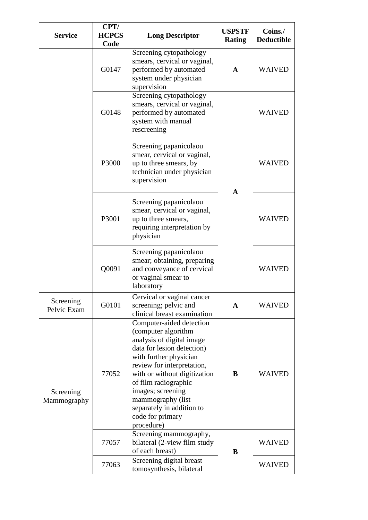| <b>Service</b>           | CPT/<br><b>HCPCS</b><br>Code | <b>Long Descriptor</b>                                                                                                                                                                                                                                                                                                              | <b>USPSTF</b><br><b>Rating</b> | Coins./<br><b>Deductible</b> |
|--------------------------|------------------------------|-------------------------------------------------------------------------------------------------------------------------------------------------------------------------------------------------------------------------------------------------------------------------------------------------------------------------------------|--------------------------------|------------------------------|
|                          | G0147                        | Screening cytopathology<br>smears, cervical or vaginal,<br>performed by automated<br>system under physician<br>supervision                                                                                                                                                                                                          | A                              | <b>WAIVED</b>                |
|                          | G0148                        | Screening cytopathology<br>smears, cervical or vaginal,<br>performed by automated<br>system with manual<br>rescreening                                                                                                                                                                                                              | $\mathbf{A}$                   | <b>WAIVED</b>                |
|                          | P3000                        | Screening papanicolaou<br>smear, cervical or vaginal,<br>up to three smears, by<br>technician under physician<br>supervision                                                                                                                                                                                                        |                                | <b>WAIVED</b>                |
|                          | P3001                        | Screening papanicolaou<br>smear, cervical or vaginal,<br>up to three smears,<br>requiring interpretation by<br>physician                                                                                                                                                                                                            |                                | <b>WAIVED</b>                |
|                          | Q0091                        | Screening papanicolaou<br>smear; obtaining, preparing<br>and conveyance of cervical<br>or vaginal smear to<br>laboratory                                                                                                                                                                                                            |                                | <b>WAIVED</b>                |
| Screening<br>Pelvic Exam | G0101                        | Cervical or vaginal cancer<br>screening; pelvic and<br>clinical breast examination                                                                                                                                                                                                                                                  | A                              | <b>WAIVED</b>                |
| Screening<br>Mammography | 77052                        | Computer-aided detection<br>(computer algorithm<br>analysis of digital image<br>data for lesion detection)<br>with further physician<br>review for interpretation,<br>with or without digitization<br>of film radiographic<br>images; screening<br>mammography (list<br>separately in addition to<br>code for primary<br>procedure) | B                              | <b>WAIVED</b>                |
|                          | 77057                        | Screening mammography,<br>bilateral (2-view film study<br>of each breast)                                                                                                                                                                                                                                                           | B                              | <b>WAIVED</b>                |
|                          | 77063                        | Screening digital breast<br>tomosynthesis, bilateral                                                                                                                                                                                                                                                                                |                                | <b>WAIVED</b>                |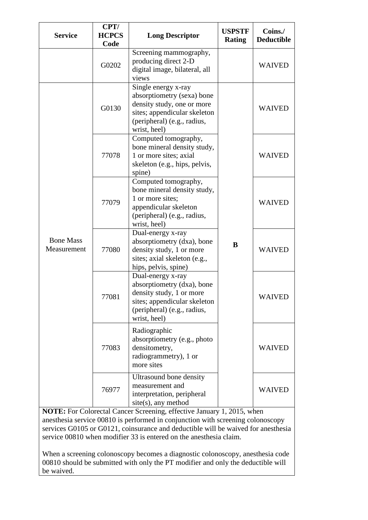| <b>Service</b>                  | CPT/<br><b>HCPCS</b><br>Code                                                                                                                                            | <b>Long Descriptor</b>                                                                                                                                     | <b>USPSTF</b><br><b>Rating</b> | Coins./<br><b>Deductible</b> |
|---------------------------------|-------------------------------------------------------------------------------------------------------------------------------------------------------------------------|------------------------------------------------------------------------------------------------------------------------------------------------------------|--------------------------------|------------------------------|
|                                 | G0202                                                                                                                                                                   | Screening mammography,<br>producing direct 2-D<br>digital image, bilateral, all<br>views                                                                   |                                | <b>WAIVED</b>                |
|                                 | Single energy x-ray<br>absorptiometry (sexa) bone<br>density study, one or more<br>G0130<br>sites; appendicular skeleton<br>(peripheral) (e.g., radius,<br>wrist, heel) |                                                                                                                                                            | <b>WAIVED</b>                  |                              |
|                                 | 77078                                                                                                                                                                   | Computed tomography,<br>bone mineral density study,<br>1 or more sites; axial<br>skeleton (e.g., hips, pelvis,<br>spine)                                   |                                | <b>WAIVED</b>                |
|                                 | 77079                                                                                                                                                                   | Computed tomography,<br>bone mineral density study,<br>1 or more sites;<br>appendicular skeleton<br>(peripheral) (e.g., radius,<br>wrist, heel)            |                                | <b>WAIVED</b>                |
| <b>Bone Mass</b><br>Measurement | 77080                                                                                                                                                                   | Dual-energy x-ray<br>absorptiometry (dxa), bone<br>density study, 1 or more<br>sites; axial skeleton (e.g.,<br>hips, pelvis, spine)                        | B                              | <b>WAIVED</b>                |
|                                 | 77081                                                                                                                                                                   | Dual-energy x-ray<br>absorptiometry (dxa), bone<br>density study, 1 or more<br>sites; appendicular skeleton<br>(peripheral) (e.g., radius,<br>wrist, heel) |                                | <b>WAIVED</b>                |
|                                 | 77083                                                                                                                                                                   | Radiographic<br>absorptiometry (e.g., photo<br>densitometry,<br>radiogrammetry), 1 or<br>more sites                                                        |                                | <b>WAIVED</b>                |
|                                 | 76977                                                                                                                                                                   | Ultrasound bone density<br>measurement and<br>interpretation, peripheral<br>site(s), any method                                                            |                                | <b>WAIVED</b>                |

**NOTE:** For Colorectal Cancer Screening, effective January 1, 2015, when anesthesia service 00810 is performed in conjunction with screening colonoscopy services G0105 or G0121, coinsurance and deductible will be waived for anesthesia service 00810 when modifier 33 is entered on the anesthesia claim.

When a screening colonoscopy becomes a diagnostic colonoscopy, anesthesia code 00810 should be submitted with only the PT modifier and only the deductible will be waived.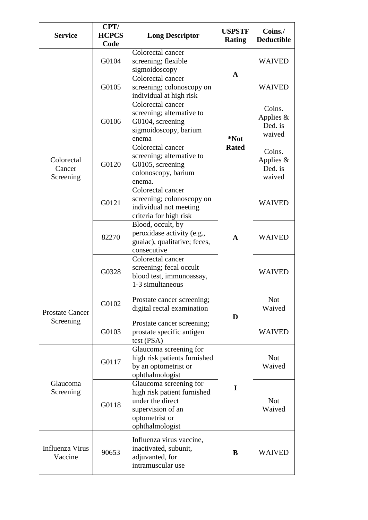| <b>Service</b>                    | CPT/<br><b>HCPCS</b><br>Code | <b>Long Descriptor</b>                                                                                                              | <b>USPSTF</b><br><b>Rating</b> | Coins./<br><b>Deductible</b>               |
|-----------------------------------|------------------------------|-------------------------------------------------------------------------------------------------------------------------------------|--------------------------------|--------------------------------------------|
| Colorectal<br>Cancer<br>Screening | G0104                        | Colorectal cancer<br>screening; flexible<br>sigmoidoscopy                                                                           |                                | <b>WAIVED</b>                              |
|                                   | G0105                        | Colorectal cancer<br>screening; colonoscopy on<br>individual at high risk                                                           | $\mathbf A$                    | <b>WAIVED</b>                              |
|                                   | G0106                        | Colorectal cancer<br>screening; alternative to<br>G0104, screening<br>sigmoidoscopy, barium<br>enema                                | *Not                           | Coins.<br>Applies $&$<br>Ded. is<br>waived |
|                                   | G0120                        | Colorectal cancer<br>screening; alternative to<br>G0105, screening<br>colonoscopy, barium<br>enema.                                 | <b>Rated</b>                   | Coins.<br>Applies $&$<br>Ded. is<br>waived |
|                                   | G0121                        | Colorectal cancer<br>screening; colonoscopy on<br>individual not meeting<br>criteria for high risk                                  |                                | <b>WAIVED</b>                              |
|                                   | 82270                        | Blood, occult, by<br>peroxidase activity (e.g.,<br>guaiac), qualitative; feces,<br>consecutive                                      | $\mathbf{A}$                   | <b>WAIVED</b>                              |
|                                   | G0328                        | Colorectal cancer<br>screening; fecal occult<br>blood test, immunoassay,<br>1-3 simultaneous                                        |                                | <b>WAIVED</b>                              |
| <b>Prostate Cancer</b>            | G0102                        | Prostate cancer screening;<br>digital rectal examination                                                                            | D                              | <b>Not</b><br>Waived                       |
| Screening                         | G0103                        | Prostate cancer screening;<br>prostate specific antigen<br>test (PSA)                                                               |                                | <b>WAIVED</b>                              |
|                                   | G0117                        | Glaucoma screening for<br>high risk patients furnished<br>by an optometrist or<br>ophthalmologist                                   |                                | <b>Not</b><br>Waived                       |
| Glaucoma<br>Screening             | G0118                        | Glaucoma screening for<br>high risk patient furnished<br>under the direct<br>supervision of an<br>optometrist or<br>ophthalmologist | $\mathbf I$                    | <b>Not</b><br>Waived                       |
| Influenza Virus<br>Vaccine        | 90653                        | Influenza virus vaccine,<br>inactivated, subunit,<br>adjuvanted, for<br>intramuscular use                                           | B                              | WAIVED                                     |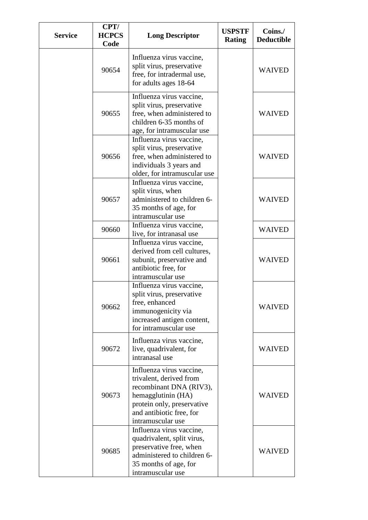| <b>Service</b> | CPT/<br><b>HCPCS</b><br>Code | <b>Long Descriptor</b>                                                                                                                                                              | <b>USPSTF</b><br><b>Rating</b> | Coins./<br><b>Deductible</b> |
|----------------|------------------------------|-------------------------------------------------------------------------------------------------------------------------------------------------------------------------------------|--------------------------------|------------------------------|
|                | 90654                        | Influenza virus vaccine,<br>split virus, preservative<br>free, for intradermal use,<br>for adults ages 18-64                                                                        |                                | <b>WAIVED</b>                |
|                | 90655                        | Influenza virus vaccine,<br>split virus, preservative<br>free, when administered to<br>children 6-35 months of<br>age, for intramuscular use                                        |                                | <b>WAIVED</b>                |
|                | 90656                        | Influenza virus vaccine,<br>split virus, preservative<br>free, when administered to<br>individuals 3 years and<br>older, for intramuscular use                                      |                                | <b>WAIVED</b>                |
|                | 90657                        | Influenza virus vaccine,<br>split virus, when<br>administered to children 6-<br>35 months of age, for<br>intramuscular use                                                          |                                | <b>WAIVED</b>                |
|                | 90660                        | Influenza virus vaccine,<br>live, for intranasal use                                                                                                                                |                                | <b>WAIVED</b>                |
|                | 90661                        | Influenza virus vaccine,<br>derived from cell cultures,<br>subunit, preservative and<br>antibiotic free, for<br>intramuscular use                                                   |                                | <b>WAIVED</b>                |
|                | 90662                        | Influenza virus vaccine,<br>split virus, preservative<br>free, enhanced<br>immunogenicity via<br>increased antigen content,<br>for intramuscular use                                |                                | <b>WAIVED</b>                |
|                | 90672                        | Influenza virus vaccine,<br>live, quadrivalent, for<br>intranasal use                                                                                                               |                                | <b>WAIVED</b>                |
|                | 90673                        | Influenza virus vaccine,<br>trivalent, derived from<br>recombinant DNA (RIV3),<br>hemagglutinin (HA)<br>protein only, preservative<br>and antibiotic free, for<br>intramuscular use |                                | <b>WAIVED</b>                |
|                | 90685                        | Influenza virus vaccine,<br>quadrivalent, split virus,<br>preservative free, when<br>administered to children 6-<br>35 months of age, for<br>intramuscular use                      |                                | <b>WAIVED</b>                |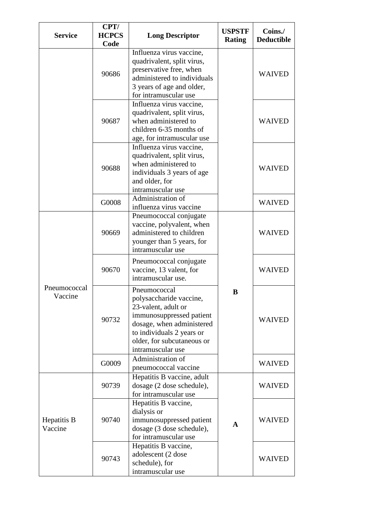| <b>Service</b>          | CPT/<br><b>HCPCS</b><br>Code | <b>Long Descriptor</b>                                                                                                                                                                                  | <b>USPSTF</b><br><b>Rating</b> | Coins./<br><b>Deductible</b> |
|-------------------------|------------------------------|---------------------------------------------------------------------------------------------------------------------------------------------------------------------------------------------------------|--------------------------------|------------------------------|
|                         | 90686                        | Influenza virus vaccine,<br>quadrivalent, split virus,<br>preservative free, when<br>administered to individuals<br>3 years of age and older,<br>for intramuscular use                                  |                                | <b>WAIVED</b>                |
|                         | 90687                        | Influenza virus vaccine,<br>quadrivalent, split virus,<br>when administered to<br>children 6-35 months of<br>age, for intramuscular use                                                                 |                                | <b>WAIVED</b>                |
|                         | 90688                        | Influenza virus vaccine,<br>quadrivalent, split virus,<br>when administered to<br>individuals 3 years of age<br>and older, for<br>intramuscular use                                                     |                                | <b>WAIVED</b>                |
|                         | G0008                        | Administration of<br>influenza virus vaccine                                                                                                                                                            |                                | <b>WAIVED</b>                |
|                         | 90669                        | Pneumococcal conjugate<br>vaccine, polyvalent, when<br>administered to children<br>younger than 5 years, for<br>intramuscular use                                                                       |                                | <b>WAIVED</b>                |
|                         | 90670                        | Pneumococcal conjugate<br>vaccine, 13 valent, for<br>intramuscular use.                                                                                                                                 |                                | <b>WAIVED</b>                |
| Pneumococcal<br>Vaccine | 90732                        | Pneumococcal<br>polysaccharide vaccine,<br>23-valent, adult or<br>immunosuppressed patient<br>dosage, when administered<br>to individuals 2 years or<br>older, for subcutaneous or<br>intramuscular use | B                              | <b>WAIVED</b>                |
|                         | G0009                        | Administration of                                                                                                                                                                                       |                                | <b>WAIVED</b>                |
|                         | 90739                        | pneumococcal vaccine<br>Hepatitis B vaccine, adult<br>dosage (2 dose schedule),<br>for intramuscular use                                                                                                |                                | <b>WAIVED</b>                |
| Hepatitis B<br>Vaccine  | 90740                        | Hepatitis B vaccine,<br>dialysis or<br>immunosuppressed patient<br>dosage (3 dose schedule),<br>for intramuscular use                                                                                   | $\mathbf{A}$                   | <b>WAIVED</b>                |
|                         | 90743                        | Hepatitis B vaccine,<br>adolescent (2 dose<br>schedule), for<br>intramuscular use                                                                                                                       |                                | <b>WAIVED</b>                |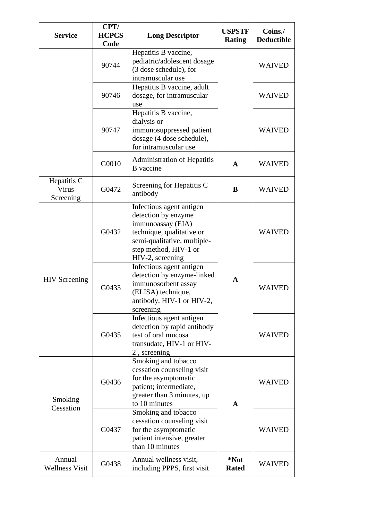| <b>Service</b>                    | CPT/<br><b>HCPCS</b><br>Code | <b>Long Descriptor</b>                                                                                                                                                        | <b>USPSTF</b><br><b>Rating</b> | Coins./<br><b>Deductible</b> |
|-----------------------------------|------------------------------|-------------------------------------------------------------------------------------------------------------------------------------------------------------------------------|--------------------------------|------------------------------|
|                                   | 90744                        | Hepatitis B vaccine,<br>pediatric/adolescent dosage<br>(3 dose schedule), for<br>intramuscular use                                                                            |                                | <b>WAIVED</b>                |
|                                   | 90746                        | Hepatitis B vaccine, adult<br>dosage, for intramuscular<br>use                                                                                                                |                                | <b>WAIVED</b>                |
|                                   | 90747                        | Hepatitis B vaccine,<br>dialysis or<br>immunosuppressed patient<br>dosage (4 dose schedule),<br>for intramuscular use                                                         |                                | <b>WAIVED</b>                |
|                                   | G0010                        | <b>Administration of Hepatitis</b><br><b>B</b> vaccine                                                                                                                        | A                              | <b>WAIVED</b>                |
| Hepatitis C<br>Virus<br>Screening | G0472                        | Screening for Hepatitis C<br>antibody                                                                                                                                         | B                              | <b>WAIVED</b>                |
| <b>HIV</b> Screening              | G0432                        | Infectious agent antigen<br>detection by enzyme<br>immunoassay (EIA)<br>technique, qualitative or<br>semi-qualitative, multiple-<br>step method, HIV-1 or<br>HIV-2, screening | A                              | <b>WAIVED</b>                |
|                                   | G0433                        | Infectious agent antigen<br>detection by enzyme-linked<br>immunosorbent assay<br>(ELISA) technique,<br>antibody, HIV-1 or HIV-2,<br>screening                                 |                                | <b>WAIVED</b>                |
|                                   | G0435                        | Infectious agent antigen<br>detection by rapid antibody<br>test of oral mucosa<br>transudate, HIV-1 or HIV-<br>2, screening                                                   |                                | <b>WAIVED</b>                |
| Smoking<br>Cessation              | G0436                        | Smoking and tobacco<br>cessation counseling visit<br>for the asymptomatic<br>patient; intermediate,<br>greater than 3 minutes, up<br>to 10 minutes                            | $\mathbf{A}$                   | <b>WAIVED</b>                |
|                                   | G0437                        | Smoking and tobacco<br>cessation counseling visit<br>for the asymptomatic<br>patient intensive, greater<br>than 10 minutes                                                    |                                | <b>WAIVED</b>                |
| Annual<br><b>Wellness Visit</b>   | G0438                        | Annual wellness visit,<br>including PPPS, first visit                                                                                                                         | *Not<br><b>Rated</b>           | <b>WAIVED</b>                |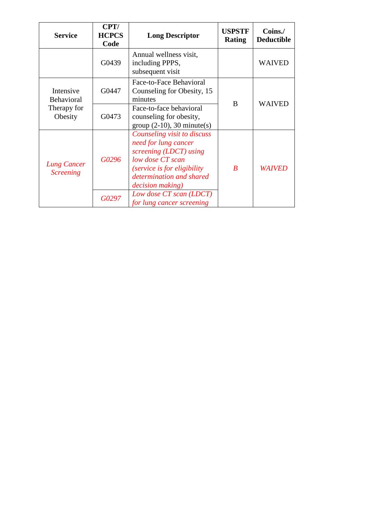| <b>Service</b>                         | CPT/<br><b>HCPCS</b><br>Code | <b>Long Descriptor</b>                                                                                                                                                                           | <b>USPSTF</b><br><b>Rating</b> | Coins./<br><b>Deductible</b> |
|----------------------------------------|------------------------------|--------------------------------------------------------------------------------------------------------------------------------------------------------------------------------------------------|--------------------------------|------------------------------|
|                                        | G0439                        | Annual wellness visit,<br>including PPPS,<br>subsequent visit                                                                                                                                    |                                | <b>WAIVED</b>                |
| Intensive<br><b>Behavioral</b>         | G0447                        | Face-to-Face Behavioral<br>Counseling for Obesity, 15<br>minutes                                                                                                                                 | B                              | <b>WAIVED</b>                |
| Therapy for<br>Obesity                 | G0473                        | Face-to-face behavioral<br>counseling for obesity,<br>$group (2-10), 30 minute(s)$                                                                                                               |                                |                              |
| <b>Lung Cancer</b><br><b>Screening</b> | G0296                        | Counseling visit to discuss<br>need for lung cancer<br>screening (LDCT) using<br>low dose CT scan<br><i>(service is for eligibility)</i><br>determination and shared<br><i>decision making</i> ) | $\boldsymbol{B}$               | <i>WAIVED</i>                |
|                                        | G0297                        | Low dose CT scan (LDCT)<br>for lung cancer screening                                                                                                                                             |                                |                              |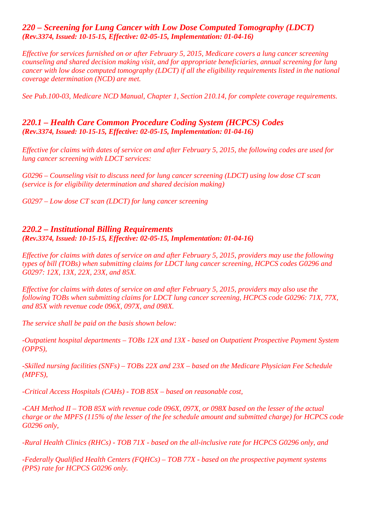## *220 – Screening for Lung Cancer with Low Dose Computed Tomography (LDCT) (Rev.3374, Issued: 10-15-15, Effective: 02-05-15, Implementation: 01-04-16)*

*Effective for services furnished on or after February 5, 2015, Medicare covers a lung cancer screening counseling and shared decision making visit, and for appropriate beneficiaries, annual screening for lung cancer with low dose computed tomography (LDCT) if all the eligibility requirements listed in the national coverage determination (NCD) are met.* 

*See Pub.100-03, Medicare NCD Manual, Chapter 1, Section 210.14, for complete coverage requirements.* 

#### *220.1 – Health Care Common Procedure Coding System (HCPCS) Codes (Rev.3374, Issued: 10-15-15, Effective: 02-05-15, Implementation: 01-04-16)*

*Effective for claims with dates of service on and after February 5, 2015, the following codes are used for lung cancer screening with LDCT services:*

*G0296 – Counseling visit to discuss need for lung cancer screening (LDCT) using low dose CT scan (service is for eligibility determination and shared decision making)*

*G0297 – Low dose CT scan (LDCT) for lung cancer screening*

## *220.2 – Institutional Billing Requirements (Rev.3374, Issued: 10-15-15, Effective: 02-05-15, Implementation: 01-04-16)*

*Effective for claims with dates of service on and after February 5, 2015, providers may use the following types of bill (TOBs) when submitting claims for LDCT lung cancer screening, HCPCS codes G0296 and G0297: 12X, 13X, 22X, 23X, and 85X.* 

*Effective for claims with dates of service on and after February 5, 2015, providers may also use the following TOBs when submitting claims for LDCT lung cancer screening, HCPCS code G0296: 71X, 77X, and 85X with revenue code 096X, 097X, and 098X.* 

*The service shall be paid on the basis shown below:*

*-Outpatient hospital departments – TOBs 12X and 13X - based on Outpatient Prospective Payment System (OPPS),*

*-Skilled nursing facilities (SNFs) – TOBs 22X and 23X – based on the Medicare Physician Fee Schedule (MPFS),*

*-Critical Access Hospitals (CAHs) - TOB 85X – based on reasonable cost,*

*-CAH Method II – TOB 85X with revenue code 096X, 097X, or 098X based on the lesser of the actual charge or the MPFS (115% of the lesser of the fee schedule amount and submitted charge) for HCPCS code G0296 only,*

*-Rural Health Clinics (RHCs) - TOB 71X - based on the all-inclusive rate for HCPCS G0296 only, and*

*-Federally Qualified Health Centers (FQHCs) – TOB 77X - based on the prospective payment systems (PPS) rate for HCPCS G0296 only.*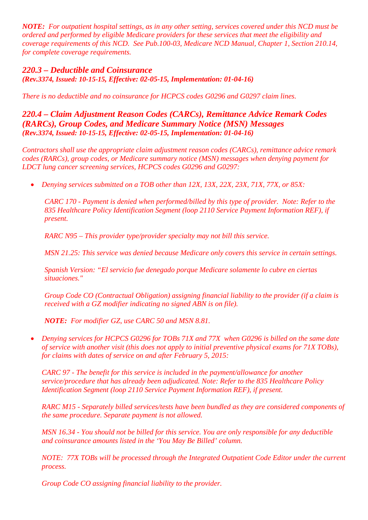*NOTE: For outpatient hospital settings, as in any other setting, services covered under this NCD must be ordered and performed by eligible Medicare providers for these services that meet the eligibility and coverage requirements of this NCD. See Pub.100-03, Medicare NCD Manual, Chapter 1, Section 210.14, for complete coverage requirements.*

## *220.3 – Deductible and Coinsurance (Rev.3374, Issued: 10-15-15, Effective: 02-05-15, Implementation: 01-04-16)*

*There is no deductible and no coinsurance for HCPCS codes G0296 and G0297 claim lines.* 

*220.4 – Claim Adjustment Reason Codes (CARCs), Remittance Advice Remark Codes (RARCs), Group Codes, and Medicare Summary Notice (MSN) Messages (Rev.3374, Issued: 10-15-15, Effective: 02-05-15, Implementation: 01-04-16)*

*Contractors shall use the appropriate claim adjustment reason codes (CARCs), remittance advice remark codes (RARCs), group codes, or Medicare summary notice (MSN) messages when denying payment for LDCT lung cancer screening services, HCPCS codes G0296 and G0297:*

• *Denying services submitted on a TOB other than 12X, 13X, 22X, 23X, 71X, 77X, or 85X:*

*CARC 170 - Payment is denied when performed/billed by this type of provider. Note: Refer to the 835 Healthcare Policy Identification Segment (loop 2110 Service Payment Information REF), if present.*

*RARC N95 – This provider type/provider specialty may not bill this service.*

*MSN 21.25: This service was denied because Medicare only covers this service in certain settings.*

*Spanish Version: "El servicio fue denegado porque Medicare solamente lo cubre en ciertas situaciones."*

*Group Code CO (Contractual Obligation) assigning financial liability to the provider (if a claim is received with a GZ modifier indicating no signed ABN is on file).*

*NOTE: For modifier GZ, use CARC 50 and MSN 8.81.*

• *Denying services for HCPCS G0296 for TOBs 71X and 77X when G0296 is billed on the same date of service with another visit (this does not apply to initial preventive physical exams for 71X TOBs), for claims with dates of service on and after February 5, 2015:*

*CARC 97 - The benefit for this service is included in the payment/allowance for another service/procedure that has already been adjudicated. Note: Refer to the 835 Healthcare Policy Identification Segment (loop 2110 Service Payment Information REF), if present.* 

*RARC M15 - Separately billed services/tests have been bundled as they are considered components of the same procedure. Separate payment is not allowed.*

*MSN 16.34 - You should not be billed for this service. You are only responsible for any deductible and coinsurance amounts listed in the 'You May Be Billed' column.* 

*NOTE: 77X TOBs will be processed through the Integrated Outpatient Code Editor under the current process.*

*Group Code CO assigning financial liability to the provider.*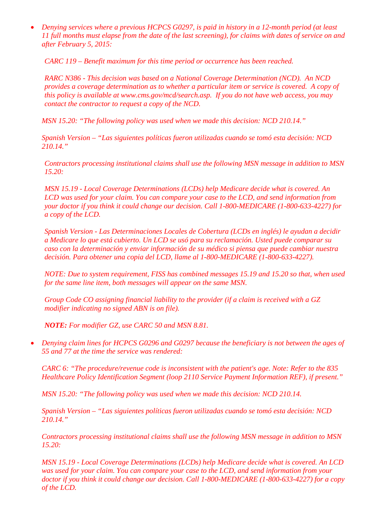• *Denying services where a previous HCPCS G0297, is paid in history in a 12-month period (at least 11 full months must elapse from the date of the last screening), for claims with dates of service on and after February 5, 2015:*

*CARC 119 – Benefit maximum for this time period or occurrence has been reached.*

*RARC N386 - This decision was based on a National Coverage Determination (NCD). An NCD provides a coverage determination as to whether a particular item or service is covered. A copy of this policy is available at www.cms.gov/mcd/search.asp. If you do not have web access, you may contact the contractor to request a copy of the NCD.*

*MSN 15.20: "The following policy was used when we made this decision: NCD 210.14."*

*Spanish Version – "Las siguientes políticas fueron utilizadas cuando se tomó esta decisión: NCD 210.14."*

*Contractors processing institutional claims shall use the following MSN message in addition to MSN 15.20:*

*MSN 15.19 - Local Coverage Determinations (LCDs) help Medicare decide what is covered. An LCD was used for your claim. You can compare your case to the LCD, and send information from your doctor if you think it could change our decision. Call 1-800-MEDICARE (1-800-633-4227) for a copy of the LCD.*

*Spanish Version - Las Determinaciones Locales de Cobertura (LCDs en inglés) le ayudan a decidir a Medicare lo que está cubierto. Un LCD se usó para su reclamación. Usted puede comparar su caso con la determinación y enviar información de su médico si piensa que puede cambiar nuestra decisión. Para obtener una copia del LCD, llame al 1-800-MEDICARE (1-800-633-4227).*

*NOTE: Due to system requirement, FISS has combined messages 15.19 and 15.20 so that, when used for the same line item, both messages will appear on the same MSN.* 

*Group Code CO assigning financial liability to the provider (if a claim is received with a GZ modifier indicating no signed ABN is on file).*

*NOTE: For modifier GZ, use CARC 50 and MSN 8.81.*

• *Denying claim lines for HCPCS G0296 and G0297 because the beneficiary is not between the ages of 55 and 77 at the time the service was rendered:*

*CARC 6: "The procedure/revenue code is inconsistent with the patient's age. Note: Refer to the 835 Healthcare Policy Identification Segment (loop 2110 Service Payment Information REF), if present."*

*MSN 15.20: "The following policy was used when we made this decision: NCD 210.14.*

*Spanish Version – "Las siguientes políticas fueron utilizadas cuando se tomó esta decisión: NCD 210.14."*

*Contractors processing institutional claims shall use the following MSN message in addition to MSN 15.20:*

*MSN 15.19 - Local Coverage Determinations (LCDs) help Medicare decide what is covered. An LCD was used for your claim. You can compare your case to the LCD, and send information from your doctor if you think it could change our decision. Call 1-800-MEDICARE (1-800-633-4227) for a copy of the LCD.*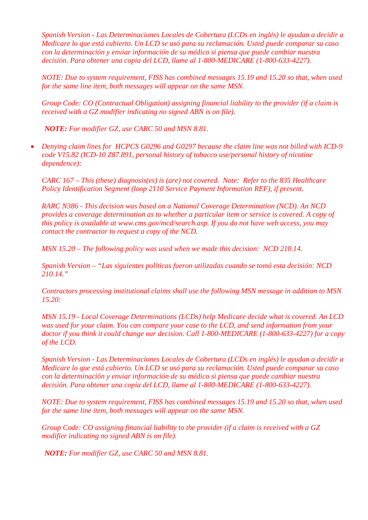*Spanish Version - Las Determinaciones Locales de Cobertura (LCDs en inglés) le ayudan a decidir a Medicare lo que está cubierto. Un LCD se usó para su reclamación. Usted puede comparar su caso con la determinación y enviar información de su médico si piensa que puede cambiar nuestra decisión. Para obtener una copia del LCD, llame al 1-800-MEDICARE (1-800-633-4227).*

*NOTE: Due to system requirement, FISS has combined messages 15.19 and 15.20 so that, when used for the same line item, both messages will appear on the same MSN.* 

*Group Code: CO (Contractual Obligation) assigning financial liability to the provider (if a claim is received with a GZ modifier indicating no signed ABN is on file).*

*NOTE: For modifier GZ, use CARC 50 and MSN 8.81.*

• *Denying claim lines for HCPCS G0296 and G0297 because the claim line was not billed with ICD-9 code V15.82 (ICD-10 Z87.891, personal history of tobacco use/personal history of nicotine dependence):*

*CARC 167 – This (these) diagnosis(es) is (are) not covered. Note: Refer to the 835 Healthcare Policy Identification Segment (loop 2110 Service Payment Information REF), if present.*

*RARC N386 - This decision was based on a National Coverage Determination (NCD). An NCD provides a coverage determination as to whether a particular item or service is covered. A copy of this policy is available at www.cms.gov/mcd/search.asp. If you do not have web access, you may contact the contractor to request a copy of the NCD.*

*MSN 15.20 – The following policy was used when we made this decision: NCD 210.14.*

*Spanish Version – "Las siguientes políticas fueron utilizadas cuando se tomó esta decisión: NCD 210.14."*

*Contractors processing institutional claims shall use the following MSN message in addition to MSN 15.20:*

*MSN 15.19 - Local Coverage Determinations (LCDs) help Medicare decide what is covered. An LCD was used for your claim. You can compare your case to the LCD, and send information from your doctor if you think it could change our decision. Call 1-800-MEDICARE (1-800-633-4227) for a copy of the LCD.*

*Spanish Version - Las Determinaciones Locales de Cobertura (LCDs en inglés) le ayudan a decidir a Medicare lo que está cubierto. Un LCD se usó para su reclamación. Usted puede comparar su caso con la determinación y enviar información de su médico si piensa que puede cambiar nuestra decisión. Para obtener una copia del LCD, llame al 1-800-MEDICARE (1-800-633-4227).*

*NOTE: Due to system requirement, FISS has combined messages 15.19 and 15.20 so that, when used for the same line item, both messages will appear on the same MSN.*

*Group Code: CO assigning financial liability to the provider (if a claim is received with a GZ modifier indicating no signed ABN is on file).*

*NOTE: For modifier GZ, use CARC 50 and MSN 8.81.*